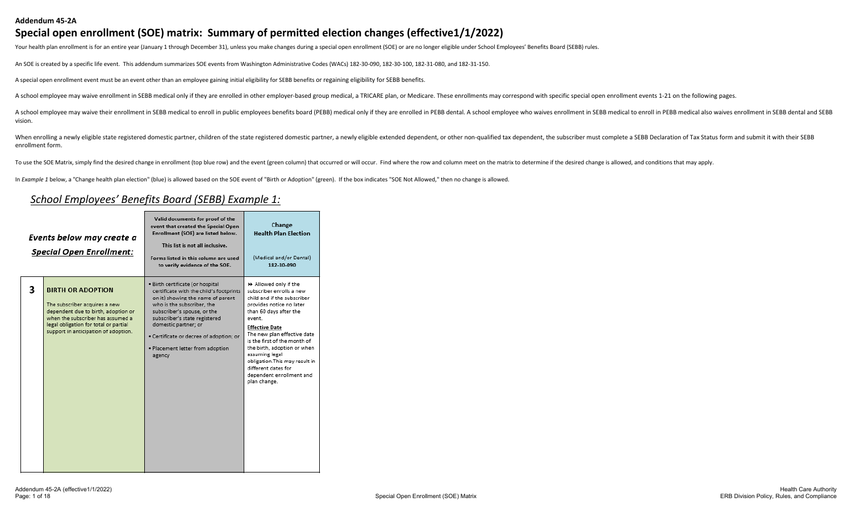Your health plan enrollment is for an entire year (January 1 through December 31), unless you make changes during a special open enrollment (SOE) or are no longer eligible under School Employees' Benefits Board (SEBB) rule

An SOE is created by a specific life event. This addendum summarizes SOE events from Washington Administrative Codes (WACs) 182-30-090, 182-30-100, 182-31-080, and 182-31-150.

A special open enrollment event must be an event other than an employee gaining initial eligibility for SEBB benefits or regaining eligibility for SEBB benefits.

A school employee may waive enrollment in SEBB medical only if they are enrolled in other employer-based group medical, a TRICARE plan, or Medicare. These enrollments may correspond with specific special open enrollment ev

A school employee may waive their enrollment in SEBB medical to enroll in public employees benefits board (PEBB) medical only if they are enrolled in PEBB dental. A school employee who waives enrollment in SEBB medical to vision.

When enrolling a newly eligible state registered domestic partner, children of the state registered domestic partner, children of the state registered domestic partner, a newly eligible extended dependent, or other non-qua enrollment form.

To use the SOE Matrix, simply find the desired change in enrollment (top blue row) and the event (green column) that occurred or will occur. Find where the row and column meet on the matrix to determine if the desired chan

In *Example 1* below, a "Change health plan election" (blue) is allowed based on the SOE event of "Birth or Adoption" (green). If the box indicates "SOE Not Allowed," then no change is allowed.

#### *School Employees' Benefits Board (SEBB) Example 1:*

|   | Events below may create a<br><b>Special Open Enrollment:</b>                                                                                                                                                           | Valid documents for proof of the<br>event that created the Special Open<br>Enrollment (SOE) are listed below.<br>This list is not all inclusive.<br>Forms listed in this column are used<br>to verify evidence of the SOE.                                                                                                      | Change<br><b>Health Plan Election</b><br>(Medical and/or Dental)<br>182-30-090                                                                                                                                                                                                                                                                                                                 |
|---|------------------------------------------------------------------------------------------------------------------------------------------------------------------------------------------------------------------------|---------------------------------------------------------------------------------------------------------------------------------------------------------------------------------------------------------------------------------------------------------------------------------------------------------------------------------|------------------------------------------------------------------------------------------------------------------------------------------------------------------------------------------------------------------------------------------------------------------------------------------------------------------------------------------------------------------------------------------------|
| 3 | <b>BIRTH OR ADOPTION</b><br>The subscriber acquires a new<br>dependent due to birth, adoption or<br>when the subscriber has assumed a<br>legal obligation for total or partial<br>support in anticipation of adoption. | · Birth certificate (or hospital<br>certificate with the child's footprints<br>on it) showing the name of parent<br>who is the subscriber, the<br>subscriber's spouse, or the<br>subscriber's state registered<br>domestic partner; or<br>· Certificate or decree of adoption; or<br>· Placement letter from adoption<br>agency | ▶ Allowed only if the<br>subscriber enrolls a new<br>child and if the subscriber<br>provides notice no later<br>than 60 days after the<br>event.<br><b>Effective Date</b><br>The new plan effective date<br>is the first of the month of<br>the birth, adoption or when<br>assuming legal<br>obligation. This may result in<br>different dates for<br>dependent enrollment and<br>plan change. |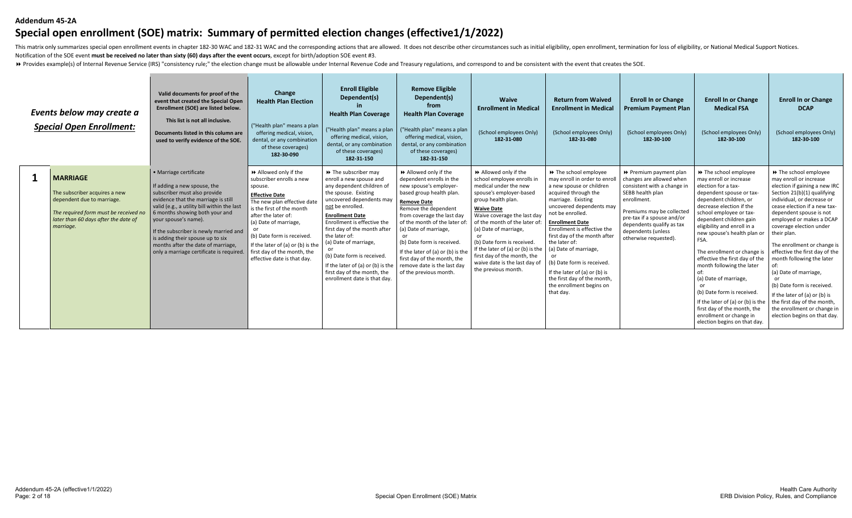#### **Addendum 45-2A**

# **Special open enrollment (SOE) matrix: Summary of permitted election changes (effective1/1/2022)**

This matrix only summarizes special open enrollment events in chapter 182-30 WAC and 182-31 WAC and the corresponding actions that are allowed. It does not describe other circumstances such as initial eligibility, open enr Notification of the SOE event **must be received no later than sixty (60) days after the event occurs**, except for birth/adoption SOE event #3.

>> Provides example(s) of Internal Revenue Service (IRS) "consistency rule;" the election change must be allowable under Internal Revenue Code and Treasury regulations, and correspond to and be consistent with the event th

| Events below may create a<br><b>Special Open Enrollment:</b>                                                                                                                 | Valid documents for proof of the<br>event that created the Special Open<br>Enrollment (SOE) are listed below.<br>This list is not all inclusive.<br>Documents listed in this column are<br>used to verify evidence of the SOE.                                                                                                                                                                        | Change<br><b>Health Plan Election</b><br>("Health plan" means a plan<br>offering medical, vision<br>dental, or any combination<br>of these coverages)<br>182-30-090                                                                                                                                                              | <b>Enroll Eligible</b><br>Dependent(s)<br><b>Health Plan Coverage</b><br>("Health plan" means a plan<br>offering medical, vision,<br>dental, or any combination<br>of these coverages)<br>182-31-150                                                                                                                                                                                                                       | <b>Remove Eligible</b><br>Dependent(s)<br>from<br><b>Health Plan Coverage</b><br>("Health plan" means a plan<br>offering medical, vision,<br>dental, or any combination<br>of these coverages)<br>182-31-150                                                                                                                                                                                         | <b>Waive</b><br><b>Enrollment in Medical</b><br>(School employees Only)<br>182-31-080                                                                                                                                                                                                                                                                                                              | <b>Return from Waived</b><br><b>Enrollment in Medical</b><br>(School employees Only)<br>182-31-080                                                                                                                                                                                                                                                                                                                                                        | <b>Enroll In or Change</b><br><b>Premium Payment Plan</b><br>(School employees Only)<br>182-30-100                                                                                                                                                          | <b>Enroll In or Change</b><br><b>Medical FSA</b><br>(School employees Only)<br>182-30-100                                                                                                                                                                                                                                                                                                                                                                                                                                                                                | <b>Enroll In or Change</b><br><b>DCAP</b><br>(School employees Only)<br>182-30-100                                                                                                                                                                                                                                                                                                                                                                                                                                                                                  |
|------------------------------------------------------------------------------------------------------------------------------------------------------------------------------|-------------------------------------------------------------------------------------------------------------------------------------------------------------------------------------------------------------------------------------------------------------------------------------------------------------------------------------------------------------------------------------------------------|----------------------------------------------------------------------------------------------------------------------------------------------------------------------------------------------------------------------------------------------------------------------------------------------------------------------------------|----------------------------------------------------------------------------------------------------------------------------------------------------------------------------------------------------------------------------------------------------------------------------------------------------------------------------------------------------------------------------------------------------------------------------|------------------------------------------------------------------------------------------------------------------------------------------------------------------------------------------------------------------------------------------------------------------------------------------------------------------------------------------------------------------------------------------------------|----------------------------------------------------------------------------------------------------------------------------------------------------------------------------------------------------------------------------------------------------------------------------------------------------------------------------------------------------------------------------------------------------|-----------------------------------------------------------------------------------------------------------------------------------------------------------------------------------------------------------------------------------------------------------------------------------------------------------------------------------------------------------------------------------------------------------------------------------------------------------|-------------------------------------------------------------------------------------------------------------------------------------------------------------------------------------------------------------------------------------------------------------|--------------------------------------------------------------------------------------------------------------------------------------------------------------------------------------------------------------------------------------------------------------------------------------------------------------------------------------------------------------------------------------------------------------------------------------------------------------------------------------------------------------------------------------------------------------------------|---------------------------------------------------------------------------------------------------------------------------------------------------------------------------------------------------------------------------------------------------------------------------------------------------------------------------------------------------------------------------------------------------------------------------------------------------------------------------------------------------------------------------------------------------------------------|
| <b>MARRIAGE</b><br>The subscriber acquires a new<br>dependent due to marriage.<br>The required form must be received no<br>later than 60 days after the date of<br>marriage. | · Marriage certificate<br>If adding a new spouse, the<br>subscriber must also provide<br>evidence that the marriage is still<br>valid (e.g., a utility bill within the last<br>6 months showing both your and<br>your spouse's name).<br>If the subscriber is newly married and<br>is adding their spouse up to six<br>months after the date of marriage,<br>only a marriage certificate is required. | Allowed only if the<br>subscriber enrolls a new<br>spouse.<br><b>Effective Date</b><br>The new plan effective date<br>is the first of the month<br>after the later of:<br>(a) Date of marriage,<br>(b) Date form is received.<br>If the later of (a) or (b) is the<br>first day of the month, the<br>effective date is that day. | >> The subscriber may<br>enroll a new spouse and<br>any dependent children of<br>the spouse. Existing<br>uncovered dependents may<br>not be enrolled.<br><b>Enrollment Date</b><br>Enrollment is effective the<br>first day of the month after<br>the later of:<br>(a) Date of marriage,<br>(b) Date form is received.<br>If the later of (a) or (b) is the<br>first day of the month, the<br>enrollment date is that day. | Allowed only if the<br>dependent enrolls in the<br>new spouse's employer-<br>based group health plan.<br><b>Remove Date</b><br>Remove the dependent<br>from coverage the last day<br>of the month of the later of<br>(a) Date of marriage,<br>(b) Date form is received<br>If the later of (a) or (b) is the<br>first day of the month, the<br>remove date is the last day<br>of the previous month. | Allowed only if the<br>school employee enrolls in<br>medical under the new<br>spouse's employer-based<br>group health plan.<br><b>Waive Date</b><br>Waive coverage the last day<br>of the month of the later of<br>(a) Date of marriage,<br>(b) Date form is received.<br>If the later of (a) or (b) is the<br>first day of the month, the<br>waive date is the last day of<br>the previous month. | >> The school employee<br>may enroll in order to enro<br>a new spouse or children<br>acquired through the<br>marriage. Existing<br>uncovered dependents may<br>not be enrolled.<br><b>Enrollment Date</b><br>Enrollment is effective the<br>first day of the month after<br>the later of:<br>(a) Date of marriage,<br>(b) Date form is received.<br>If the later of (a) or (b) is<br>the first day of the month,<br>the enrollment begins on<br>that day. | ▶ Premium payment plan<br>changes are allowed when<br>consistent with a change in<br>SEBB health plan<br>enrollment.<br>Premiums may be collected<br>pre-tax if a spouse and/or<br>dependents qualify as tax<br>dependents (unless<br>otherwise requested). | >> The school employee<br>may enroll or increase<br>election for a tax-<br>dependent spouse or tax-<br>dependent children, or<br>decrease election if the<br>school employee or tax-<br>dependent children gain<br>eligibility and enroll in a<br>new spouse's health plan or<br>FSA.<br>The enrollment or change is<br>effective the first day of the<br>month following the later<br>(a) Date of marriage,<br>(b) Date form is received<br>If the later of (a) or (b) is the<br>first day of the month, the<br>enrollment or change in<br>election begins on that day. | >> The school employee<br>may enroll or increase<br>election if gaining a new IRC<br>Section 21(b)(1) qualifying<br>individual, or decrease or<br>cease election if a new tax-<br>dependent spouse is not<br>employed or makes a DCAP<br>coverage election under<br>their plan.<br>The enrollment or change is<br>effective the first day of the<br>month following the later<br>(a) Date of marriage,<br>(b) Date form is received.<br>If the later of (a) or (b) is<br>the first day of the month,<br>the enrollment or change in<br>election begins on that day. |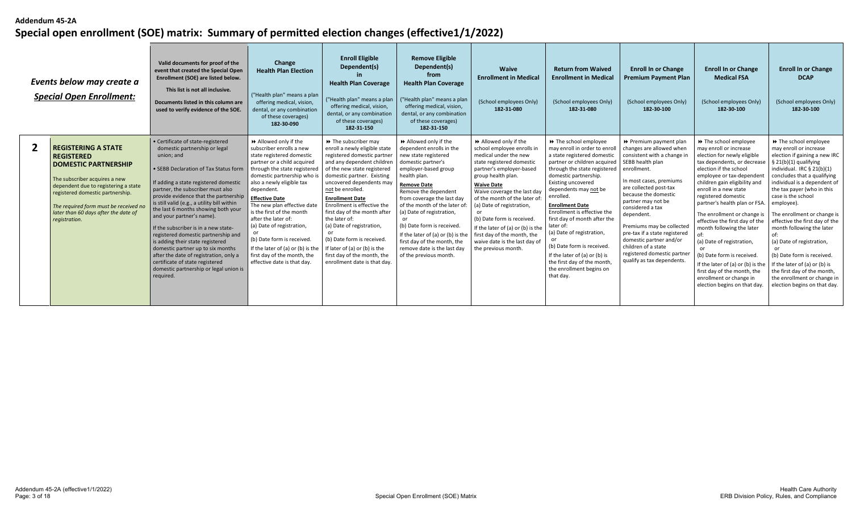| Events below may create a<br><b>Special Open Enrollment:</b>                                                                                                                                                                                                                                  | Valid documents for proof of the<br>event that created the Special Open<br>Enrollment (SOE) are listed below.<br>This list is not all inclusive.<br>Documents listed in this column are<br>used to verify evidence of the SOE.                                                                                                                                                                                                                                                                                                                                                                                                                                  | Change<br><b>Health Plan Election</b><br>("Health plan" means a plan<br>offering medical, vision,<br>dental, or any combination<br>of these coverages)<br>182-30-090                                                                                                                                                                                                                                                                                                                            | <b>Enroll Eligible</b><br>Dependent(s)<br><b>Health Plan Coverage</b><br>("Health plan" means a plan<br>offering medical, vision<br>dental, or any combination<br>of these coverages)<br>182-31-150                                                                                                                                                                                                                                                                                                   | <b>Remove Eligible</b><br>Dependent(s)<br>from<br><b>Health Plan Coverage</b><br>("Health plan" means a plan<br>offering medical, vision,<br>dental, or any combination<br>of these coverages)<br>182-31-150                                                                                                                                                                                                                              | <b>Waive</b><br><b>Enrollment in Medical</b><br>(School employees Only)<br>182-31-080                                                                                                                                                                                                                                                                                                                                                | <b>Return from Waived</b><br><b>Enrollment in Medical</b><br>(School employees Only)<br>182-31-080                                                                                                                                                                                                                                                                                                                                                                                                                    | <b>Enroll In or Change</b><br><b>Premium Payment Plan</b><br>(School employees Only)<br>182-30-100                                                                                                                                                                                                                                                                                                                                     | <b>Enroll In or Change</b><br><b>Medical FSA</b><br>(School employees Only)<br>182-30-100                                                                                                                                                                                                                                                                                                                                                                                                                                                                                | <b>Enroll In or Change</b><br><b>DCAP</b><br>(School employees Only)<br>182-30-100                                                                                                                                                                                                                                                                                                                                                                                                                                                                                     |
|-----------------------------------------------------------------------------------------------------------------------------------------------------------------------------------------------------------------------------------------------------------------------------------------------|-----------------------------------------------------------------------------------------------------------------------------------------------------------------------------------------------------------------------------------------------------------------------------------------------------------------------------------------------------------------------------------------------------------------------------------------------------------------------------------------------------------------------------------------------------------------------------------------------------------------------------------------------------------------|-------------------------------------------------------------------------------------------------------------------------------------------------------------------------------------------------------------------------------------------------------------------------------------------------------------------------------------------------------------------------------------------------------------------------------------------------------------------------------------------------|-------------------------------------------------------------------------------------------------------------------------------------------------------------------------------------------------------------------------------------------------------------------------------------------------------------------------------------------------------------------------------------------------------------------------------------------------------------------------------------------------------|-------------------------------------------------------------------------------------------------------------------------------------------------------------------------------------------------------------------------------------------------------------------------------------------------------------------------------------------------------------------------------------------------------------------------------------------|--------------------------------------------------------------------------------------------------------------------------------------------------------------------------------------------------------------------------------------------------------------------------------------------------------------------------------------------------------------------------------------------------------------------------------------|-----------------------------------------------------------------------------------------------------------------------------------------------------------------------------------------------------------------------------------------------------------------------------------------------------------------------------------------------------------------------------------------------------------------------------------------------------------------------------------------------------------------------|----------------------------------------------------------------------------------------------------------------------------------------------------------------------------------------------------------------------------------------------------------------------------------------------------------------------------------------------------------------------------------------------------------------------------------------|--------------------------------------------------------------------------------------------------------------------------------------------------------------------------------------------------------------------------------------------------------------------------------------------------------------------------------------------------------------------------------------------------------------------------------------------------------------------------------------------------------------------------------------------------------------------------|------------------------------------------------------------------------------------------------------------------------------------------------------------------------------------------------------------------------------------------------------------------------------------------------------------------------------------------------------------------------------------------------------------------------------------------------------------------------------------------------------------------------------------------------------------------------|
| <b>REGISTERING A STATE</b><br><b>REGISTERED</b><br><b>DOMESTIC PARTNERSHIP</b><br>The subscriber acquires a new<br>dependent due to registering a state<br>registered domestic partnership.<br>The required form must be received no<br>later than 60 days after the date of<br>registration. | • Certificate of state-registered<br>domestic partnership or legal<br>union: and<br>• SEBB Declaration of Tax Status form<br>If adding a state registered domestic<br>partner, the subscriber must also<br>provide evidence that the partnership<br>is still valid (e.g., a utility bill within<br>the last 6 months showing both your<br>and your partner's name).<br>If the subscriber is in a new state-<br>registered domestic partnership and<br>is adding their state registered<br>domestic partner up to six months<br>after the date of registration, only a<br>certificate of state registered<br>domestic partnership or legal union is<br>required. | Allowed only if the<br>subscriber enrolls a new<br>state registered domestic<br>partner or a child acquired<br>through the state registered<br>domestic partnership who is<br>also a newly eligible tax<br>dependent.<br><b>Effective Date</b><br>The new plan effective date<br>is the first of the month<br>after the later of:<br>(a) Date of registration,<br>(b) Date form is received.<br>If the later of (a) or (b) is the<br>first day of the month, the<br>effective date is that day. | >> The subscriber may<br>enroll a newly eligible state<br>registered domestic partner<br>and any dependent children<br>of the new state registered<br>domestic partner. Existing<br>uncovered dependents may<br>not be enrolled.<br><b>Enrollment Date</b><br>Enrollment is effective the<br>first day of the month after<br>the later of:<br>(a) Date of registration,<br>(b) Date form is received.<br>If later of (a) or (b) is the<br>first day of the month, the<br>enrollment date is that day. | Allowed only if the<br>dependent enrolls in the<br>new state registered<br>domestic partner's<br>employer-based group<br>health plan.<br><b>Remove Date</b><br>Remove the dependent<br>from coverage the last day<br>of the month of the later of<br>(a) Date of registration,<br>(b) Date form is received.<br>If the later of (a) or (b) is the<br>first day of the month, the<br>remove date is the last day<br>of the previous month. | Allowed only if the<br>school employee enrolls in<br>medical under the new<br>state registered domestic<br>partner's employer-based<br>group health plan.<br><b>Waive Date</b><br>Waive coverage the last day<br>of the month of the later of<br>(a) Date of registration,<br>(b) Date form is received.<br>If the later of (a) or (b) is the<br>first day of the month, the<br>waive date is the last day of<br>the previous month. | >> The school employee<br>may enroll in order to enroll<br>a state registered domestic<br>partner or children acquired<br>through the state registered<br>domestic partnership.<br>Existing uncovered<br>dependents may not be<br>enrolled.<br><b>Enrollment Date</b><br>Enrollment is effective the<br>first day of month after the<br>later of:<br>(a) Date of registration,<br>(b) Date form is received.<br>If the later of (a) or (b) is<br>the first day of the month,<br>the enrollment begins on<br>that day. | ▶ Premium payment plan<br>changes are allowed when<br>consistent with a change in<br>SEBB health plan<br>enrollment.<br>In most cases, premiums<br>are collected post-tax<br>because the domestic<br>partner may not be<br>considered a tax<br>dependent.<br>Premiums may be collected<br>pre-tax if a state registered<br>domestic partner and/or<br>children of a state<br>registered domestic partner<br>qualify as tax dependents. | ▶ The school employee<br>may enroll or increase<br>election for newly eligible<br>tax dependents, or decreas<br>election if the school<br>employee or tax-dependen<br>children gain eligibility and<br>enroll in a new state<br>registered domestic<br>partner's health plan or FSA<br>The enrollment or change<br>effective the first day of the<br>month following the later<br>(a) Date of registration,<br>(b) Date form is received.<br>If the later of (a) or (b) is the<br>first day of the month, the<br>enrollment or change in<br>election begins on that day. | >> The school employee<br>may enroll or increase<br>election if gaining a new IRC<br>$§$ 21(b)(1) qualifying<br>individual. IRC $\S$ 21(b)(1)<br>concludes that a qualifying<br>individual is a dependent of<br>the tax payer (who in this<br>case is the school<br>employee).<br>The enrollment or change is<br>effective the first day of the<br>month following the later<br>(a) Date of registration,<br>(b) Date form is received.<br>If the later of (a) or (b) is<br>the first day of the month,<br>the enrollment or change in<br>election begins on that day. |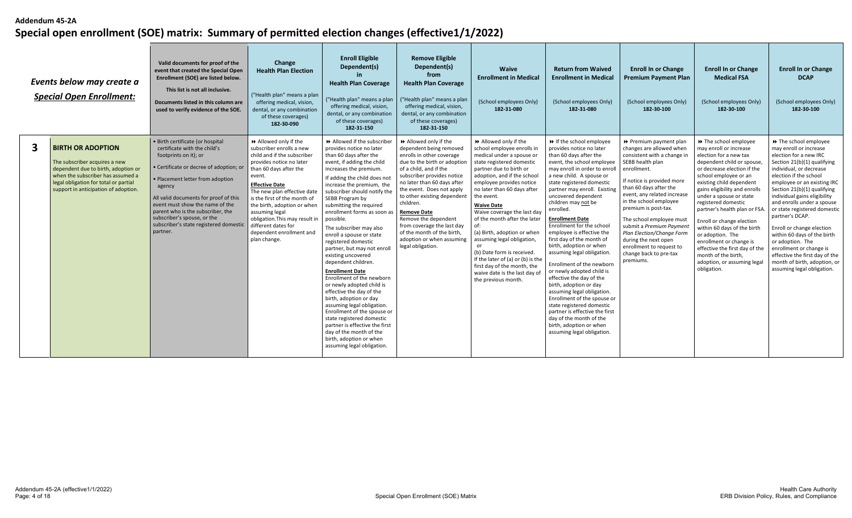|   | Events below may create a<br><b>Special Open Enrollment:</b>                                                                                                                                                           | Valid documents for proof of the<br>event that created the Special Open<br>Enrollment (SOE) are listed below.<br>This list is not all inclusive.<br>Documents listed in this column are<br>used to verify evidence of the SOE.                                                                                                                                                         | Change<br><b>Health Plan Election</b><br>("Health plan" means a plan<br>offering medical, vision,<br>dental, or any combination<br>of these coverages)<br>182-30-090                                                                                                                                                                                                                         | <b>Enroll Eligible</b><br>Dependent(s)<br><b>Health Plan Coverage</b><br>("Health plan" means a plan<br>offering medical, vision,<br>dental, or any combination<br>of these coverages)<br>182-31-150                                                                                                                                                                                                                                                                                                                                                                                                                                                                                                                                                                                                                                                  | <b>Remove Eligible</b><br>Dependent(s)<br>from<br><b>Health Plan Coverage</b><br>("Health plan" means a plan<br>offering medical, vision,<br>dental, or any combination<br>of these coverages)<br>182-31-150                                                                                                                                                                                                                            | <b>Waive</b><br><b>Enrollment in Medical</b><br>(School employees Only)<br>182-31-080                                                                                                                                                                                                                                                                                                                                                                                                                                                                     | <b>Return from Waived</b><br><b>Enrollment in Medical</b><br>(School employees Only)<br>182-31-080                                                                                                                                                                                                                                                                                                                                                                                                                                                                                                                                                                                                                                                                                                          | <b>Enroll In or Change</b><br><b>Premium Payment Plan</b><br>(School employees Only)<br>182-30-100                                                                                                                                                                                                                                                                                                                                            | <b>Enroll In or Change</b><br><b>Medical FSA</b><br>(School employees Only)<br>182-30-100                                                                                                                                                                                                                                                                                                                                                                                                                                        | <b>Enroll In or Change</b><br><b>DCAP</b><br>(School employees Only)<br>182-30-100                                                                                                                                                                                                                                                                                                                                                                                                                                                                       |
|---|------------------------------------------------------------------------------------------------------------------------------------------------------------------------------------------------------------------------|----------------------------------------------------------------------------------------------------------------------------------------------------------------------------------------------------------------------------------------------------------------------------------------------------------------------------------------------------------------------------------------|----------------------------------------------------------------------------------------------------------------------------------------------------------------------------------------------------------------------------------------------------------------------------------------------------------------------------------------------------------------------------------------------|-------------------------------------------------------------------------------------------------------------------------------------------------------------------------------------------------------------------------------------------------------------------------------------------------------------------------------------------------------------------------------------------------------------------------------------------------------------------------------------------------------------------------------------------------------------------------------------------------------------------------------------------------------------------------------------------------------------------------------------------------------------------------------------------------------------------------------------------------------|-----------------------------------------------------------------------------------------------------------------------------------------------------------------------------------------------------------------------------------------------------------------------------------------------------------------------------------------------------------------------------------------------------------------------------------------|-----------------------------------------------------------------------------------------------------------------------------------------------------------------------------------------------------------------------------------------------------------------------------------------------------------------------------------------------------------------------------------------------------------------------------------------------------------------------------------------------------------------------------------------------------------|-------------------------------------------------------------------------------------------------------------------------------------------------------------------------------------------------------------------------------------------------------------------------------------------------------------------------------------------------------------------------------------------------------------------------------------------------------------------------------------------------------------------------------------------------------------------------------------------------------------------------------------------------------------------------------------------------------------------------------------------------------------------------------------------------------------|-----------------------------------------------------------------------------------------------------------------------------------------------------------------------------------------------------------------------------------------------------------------------------------------------------------------------------------------------------------------------------------------------------------------------------------------------|----------------------------------------------------------------------------------------------------------------------------------------------------------------------------------------------------------------------------------------------------------------------------------------------------------------------------------------------------------------------------------------------------------------------------------------------------------------------------------------------------------------------------------|----------------------------------------------------------------------------------------------------------------------------------------------------------------------------------------------------------------------------------------------------------------------------------------------------------------------------------------------------------------------------------------------------------------------------------------------------------------------------------------------------------------------------------------------------------|
| 3 | <b>BIRTH OR ADOPTION</b><br>The subscriber acquires a new<br>dependent due to birth, adoption or<br>when the subscriber has assumed a<br>legal obligation for total or partial<br>support in anticipation of adoption. | • Birth certificate (or hospital<br>certificate with the child's<br>footprints on it); or<br>Certificate or decree of adoption; or<br>· Placement letter from adoption<br>agency<br>All valid documents for proof of this<br>event must show the name of the<br>parent who is the subscriber, the<br>subscriber's spouse, or the<br>subscriber's state registered domestic<br>partner. | Allowed only if the<br>subscriber enrolls a new<br>child and if the subscriber<br>provides notice no later<br>than 60 days after the<br>event.<br><b>Effective Date</b><br>The new plan effective date<br>is the first of the month of<br>the birth, adoption or when<br>assuming legal<br>obligation. This may result in<br>different dates for<br>dependent enrollment and<br>plan change. | >> Allowed if the subscriber<br>provides notice no later<br>than 60 days after the<br>event, if adding the child<br>increases the premium.<br>If adding the child does not<br>increase the premium, the<br>subscriber should notify the<br>SEBB Program by<br>submitting the required<br>enrollment forms as soon as<br>possible.<br>The subscriber may also<br>enroll a spouse or state<br>registered domestic<br>partner, but may not enroll<br>existing uncovered<br>dependent children.<br><b>Enrollment Date</b><br>Enrollment of the newborn<br>or newly adopted child is<br>effective the day of the<br>birth, adoption or day<br>assuming legal obligation.<br>Enrollment of the spouse or<br>state registered domestic<br>partner is effective the first<br>day of the month of the<br>birth, adoption or when<br>assuming legal obligation. | Allowed only if the<br>dependent being removed<br>enrolls in other coverage<br>due to the birth or adoption<br>of a child, and if the<br>subscriber provides notice<br>no later than 60 days after<br>the event. Does not apply<br>to other existing dependent<br>children.<br><b>Remove Date</b><br>Remove the dependent<br>from coverage the last day<br>of the month of the birth,<br>adoption or when assuming<br>legal obligation. | Allowed only if the<br>school employee enrolls in<br>medical under a spouse or<br>state registered domestic<br>partner due to birth or<br>adoption, and if the school<br>employee provides notice<br>no later than 60 days after<br>the event.<br><b>Waive Date</b><br>Waive coverage the last day<br>of the month after the later<br>(a) Birth, adoption or when<br>assuming legal obligation,<br>(b) Date form is received.<br>If the later of (a) or (b) is the<br>first day of the month, the<br>waive date is the last day of<br>the previous month. | → If the school employee<br>provides notice no later<br>than 60 days after the<br>event, the school employee<br>may enroll in order to enroll<br>a new child. A spouse or<br>state registered domestic<br>partner may enroll. Existing<br>uncovered dependent<br>children may not be<br>enrolled.<br><b>Enrollment Date</b><br>Enrollment for the school<br>employee is effective the<br>first day of the month of<br>birth, adoption or when<br>assuming legal obligation.<br>Enrollment of the newborn<br>or newly adopted child is<br>effective the day of the<br>birth, adoption or day<br>assuming legal obligation.<br>Enrollment of the spouse or<br>state registered domestic<br>partner is effective the first<br>day of the month of the<br>birth, adoption or when<br>assuming legal obligation. | ▶ Premium payment plan<br>changes are allowed when<br>consistent with a change in<br>SEBB health plan<br>enrollment.<br>If notice is provided more<br>than 60 days after the<br>event, any related increase<br>in the school employee<br>premium is post-tax.<br>The school employee must<br>submit a Premium Payment<br>Plan Election/Change Form<br>during the next open<br>enrollment to request to<br>change back to pre-tax<br>premiums. | >> The school employee<br>may enroll or increase<br>election for a new tax<br>dependent child or spouse<br>or decrease election if the<br>school employee or an<br>existing child dependent<br>gains eligibility and enrolls<br>under a spouse or state<br>registered domestic<br>partner's health plan or FSA<br>Enroll or change election<br>within 60 days of the birth<br>or adoption. The<br>enrollment or change is<br>effective the first day of the<br>month of the birth.<br>adoption, or assuming legal<br>obligation. | >> The school employee<br>may enroll or increase<br>election for a new IRC<br>Section 21(b)(1) qualifying<br>individual, or decrease<br>election if the school<br>employee or an existing IRC<br>Section 21(b)(1) qualifying<br>individual gains eligibility<br>and enrolls under a spouse<br>or state registered domestic<br>partner's DCAP.<br>Enroll or change election<br>within 60 days of the birth<br>or adoption. The<br>enrollment or change is<br>effective the first day of the<br>month of birth, adoption, or<br>assuming legal obligation. |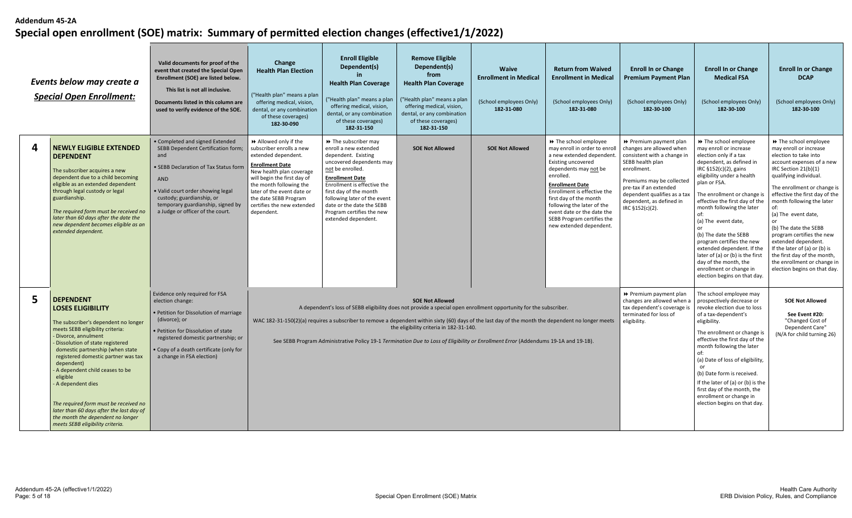|   | Events below may create a<br><b>Special Open Enrollment:</b>                                                                                                                                                                                                                                                                                                                                                                                                                                                     | Valid documents for proof of the<br>event that created the Special Open<br>Enrollment (SOE) are listed below.<br>This list is not all inclusive.<br>Documents listed in this column are<br>used to verify evidence of the SOE.                                          | Change<br><b>Health Plan Election</b><br>("Health plan" means a plan<br>offering medical, vision,<br>dental, or any combination<br>of these coverages)<br>182-30-090                                                                                                                      | <b>Enroll Eligible</b><br><b>Remove Eligible</b><br>Dependent(s)<br>Dependent(s)<br><b>Waive</b><br><b>Return from Waived</b><br>from<br>in.<br><b>Enrollment in Medical</b><br><b>Enrollment in Medical</b><br><b>Health Plan Coverage</b><br><b>Health Plan Coverage</b><br>("Health plan" means a plan<br>("Health plan" means a plan<br>(School employees Only)<br>(School employees Only)<br>offering medical, vision,<br>offering medical, vision,<br>182-31-080<br>182-31-080<br>dental, or any combination<br>dental, or any combination<br>of these coverages)<br>of these coverages)<br>182-31-150<br>182-31-150 |                                                                                                                                                                                                                                                                                                                                                                                                                                                                                     |                        |                                                                                                                                                                                                                                                                                                                                                          |                                                                                                                                                                                                                                                            | <b>Enroll In or Change</b><br><b>Medical FSA</b><br>(School employees Only)<br>182-30-100                                                                                                                                                                                                                                                                                                                                                                                                                             | <b>Enroll In or Change</b><br><b>DCAP</b><br>(School employees Only)<br>182-30-100                                                                                                                                                                                                                                                                                                                                                                                                                     |
|---|------------------------------------------------------------------------------------------------------------------------------------------------------------------------------------------------------------------------------------------------------------------------------------------------------------------------------------------------------------------------------------------------------------------------------------------------------------------------------------------------------------------|-------------------------------------------------------------------------------------------------------------------------------------------------------------------------------------------------------------------------------------------------------------------------|-------------------------------------------------------------------------------------------------------------------------------------------------------------------------------------------------------------------------------------------------------------------------------------------|----------------------------------------------------------------------------------------------------------------------------------------------------------------------------------------------------------------------------------------------------------------------------------------------------------------------------------------------------------------------------------------------------------------------------------------------------------------------------------------------------------------------------------------------------------------------------------------------------------------------------|-------------------------------------------------------------------------------------------------------------------------------------------------------------------------------------------------------------------------------------------------------------------------------------------------------------------------------------------------------------------------------------------------------------------------------------------------------------------------------------|------------------------|----------------------------------------------------------------------------------------------------------------------------------------------------------------------------------------------------------------------------------------------------------------------------------------------------------------------------------------------------------|------------------------------------------------------------------------------------------------------------------------------------------------------------------------------------------------------------------------------------------------------------|-----------------------------------------------------------------------------------------------------------------------------------------------------------------------------------------------------------------------------------------------------------------------------------------------------------------------------------------------------------------------------------------------------------------------------------------------------------------------------------------------------------------------|--------------------------------------------------------------------------------------------------------------------------------------------------------------------------------------------------------------------------------------------------------------------------------------------------------------------------------------------------------------------------------------------------------------------------------------------------------------------------------------------------------|
| Δ | <b>NEWLY ELIGIBLE EXTENDED</b><br><b>DEPENDENT</b><br>The subscriber acquires a new<br>dependent due to a child becoming<br>eligible as an extended dependent<br>through legal custody or legal<br>guardianship.<br>The required form must be received no<br>later than 60 days after the date the<br>new dependent becomes eligible as an<br>extended dependent.                                                                                                                                                | • Completed and signed Extended<br>SEBB Dependent Certification form;<br>and<br>· SEBB Declaration of Tax Status form<br>AND<br>• Valid court order showing legal<br>custody; guardianship, or<br>temporary guardianship, signed by<br>a Judge or officer of the court. | Allowed only if the<br>subscriber enrolls a new<br>extended dependent.<br><b>Enrollment Date</b><br>New health plan coverage<br>will begin the first day of<br>the month following the<br>later of the event date or<br>the date SEBB Program<br>certifies the new extended<br>dependent. | >> The subscriber may<br>enroll a new extended<br>dependent. Existing<br>uncovered dependents may<br>not be enrolled.<br><b>Enrollment Date</b><br>Enrollment is effective the<br>first day of the month<br>following later of the event<br>date or the date the SEBB<br>Program certifies the new<br>extended dependent.                                                                                                                                                                                                                                                                                                  | <b>SOE Not Allowed</b>                                                                                                                                                                                                                                                                                                                                                                                                                                                              | <b>SOE Not Allowed</b> | >> The school employee<br>may enroll in order to enroll<br>a new extended dependent.<br>Existing uncovered<br>dependents may not be<br>enrolled.<br><b>Enrollment Date</b><br>Enrollment is effective the<br>first day of the month<br>following the later of the<br>event date or the date the<br>SEBB Program certifies the<br>new extended dependent. | ▶ Premium payment plan<br>changes are allowed when<br>consistent with a change in<br>SEBB health plan<br>enrollment.<br>Premiums may be collected<br>pre-tax if an extended<br>dependent qualifies as a tax<br>dependent, as defined in<br>IRC §152(c)(2). | >> The school employee<br>may enroll or increase<br>election only if a tax<br>dependent, as defined in<br>IRC §152(c)(2), gains<br>eligibility under a health<br>plan or FSA.<br>The enrollment or change is<br>effective the first day of the<br>month following the later<br>of:<br>(a) The event date,<br>(b) The date the SEBB<br>program certifies the new<br>extended dependent. If the<br>later of (a) or (b) is the first<br>day of the month, the<br>enrollment or change in<br>election begins on that day. | >> The school employee<br>may enroll or increase<br>election to take into<br>account expenses of a new<br>IRC Section 21(b)(1)<br>qualifying individual.<br>The enrollment or change is<br>effective the first day of the<br>month following the later<br>of:<br>(a) The event date,<br>or<br>(b) The date the SEBB<br>program certifies the new<br>extended dependent.<br>If the later of (a) or (b) is<br>the first day of the month,<br>the enrollment or change in<br>election begins on that day. |
| 5 | <b>DEPENDENT</b><br><b>LOSES ELIGIBILITY</b><br>The subscriber's dependent no longer<br>meets SEBB eligibility criteria:<br>- Divorce, annulment<br>- Dissolution of state registered<br>domestic partnership (when state<br>registered domestic partner was tax<br>dependent)<br>A dependent child ceases to be<br>eligible<br>- A dependent dies<br>The required form must be received no<br>later than 60 days after the last day of<br>the month the dependent no longer<br>meets SEBB eligibility criteria. | Evidence only required for FSA<br>election change:<br>• Petition for Dissolution of marriage<br>(divorce); or<br>• Petition for Dissolution of state<br>registered domestic partnership; or<br>• Copy of a death certificate (only for<br>a change in FSA election)     |                                                                                                                                                                                                                                                                                           |                                                                                                                                                                                                                                                                                                                                                                                                                                                                                                                                                                                                                            | <b>SOE Not Allowed</b><br>A dependent's loss of SEBB eligibility does not provide a special open enrollment opportunity for the subscriber.<br>WAC 182-31-150(2)(a) requires a subscriber to remove a dependent within sixty (60) days of the last day of the month the dependent no longer meets<br>the eligibility criteria in 182-31-140.<br>See SEBB Program Administrative Policy 19-1 Termination Due to Loss of Eligibility or Enrollment Error (Addendums 19-1A and 19-1B). |                        |                                                                                                                                                                                                                                                                                                                                                          | Premium payment plan<br>changes are allowed when a<br>tax dependent's coverage is<br>terminated for loss of<br>eligibility.                                                                                                                                | The school employee may<br>prospectively decrease or<br>revoke election due to loss<br>of a tax-dependent's<br>eligibility.<br>The enrollment or change is<br>effective the first day of the<br>month following the later<br>of:<br>(a) Date of loss of eligibility,<br>(b) Date form is received.<br>If the later of (a) or (b) is the<br>first day of the month, the<br>enrollment or change in<br>election begins on that day.                                                                                     | <b>SOE Not Allowed</b><br>See Event #20:<br>"Changed Cost of<br>Dependent Care"<br>(N/A for child turning 26)                                                                                                                                                                                                                                                                                                                                                                                          |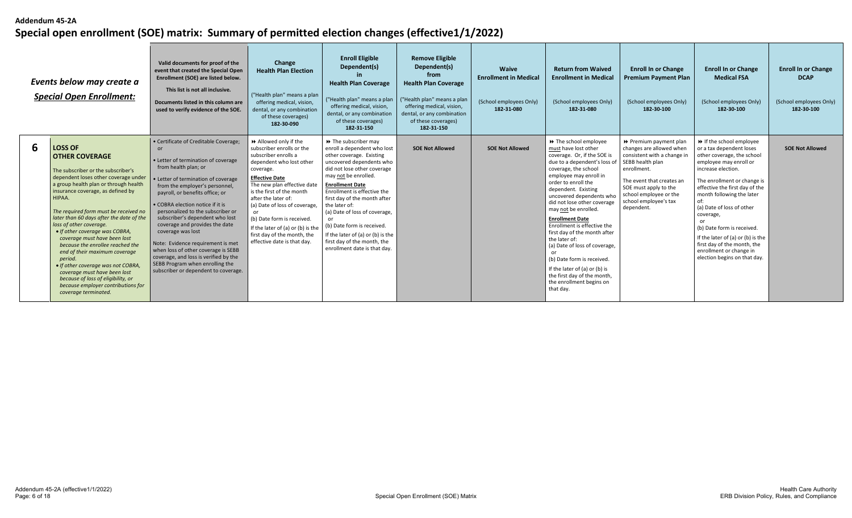|   | Events below may create a<br><b>Special Open Enrollment:</b>                                                                                                                                                                                                                                                                                                                                                                                                                                                                                                                                                                                              | Valid documents for proof of the<br>event that created the Special Open<br>Enrollment (SOE) are listed below.<br>This list is not all inclusive.<br>Documents listed in this column are<br>used to verify evidence of the SOE.                                                                                                                                                                                                                                                                                                                                                            | Change<br><b>Health Plan Election</b><br>("Health plan" means a plan<br>offering medical, vision,<br>dental, or any combination<br>of these coverages)<br>182-30-090                                                                                                                                                                                                                            | <b>Enroll Eligible</b><br>Dependent(s)<br><b>Health Plan Coverage</b><br>("Health plan" means a plan<br>offering medical, vision,<br>dental, or any combination<br>of these coverages)<br>182-31-150                                                                                                                                                                                                                                             | <b>Remove Eligible</b><br>Dependent(s)<br>from<br><b>Health Plan Coverage</b><br>("Health plan" means a plan<br>offering medical, vision,<br>dental, or any combination<br>of these coverages)<br>182-31-150 | Waive<br><b>Enrollment in Medical</b><br>(School employees Only)<br>182-31-080 | <b>Return from Waived</b><br><b>Enrollment in Medical</b><br>(School employees Only)<br>182-31-080                                                                                                                                                                                                                                                                                                                                                                                                                                                                              | <b>Enroll In or Change</b><br><b>Premium Payment Plan</b><br>(School employees Only)<br>182-30-100                                                                                                                                          | <b>Enroll In or Change</b><br><b>Medical FSA</b><br>(School employees Only)<br>182-30-100                                                                                                                                                                                                                                                                                                                                            | <b>Enroll In or Change</b><br><b>DCAP</b><br>(School employees Only)<br>182-30-100 |
|---|-----------------------------------------------------------------------------------------------------------------------------------------------------------------------------------------------------------------------------------------------------------------------------------------------------------------------------------------------------------------------------------------------------------------------------------------------------------------------------------------------------------------------------------------------------------------------------------------------------------------------------------------------------------|-------------------------------------------------------------------------------------------------------------------------------------------------------------------------------------------------------------------------------------------------------------------------------------------------------------------------------------------------------------------------------------------------------------------------------------------------------------------------------------------------------------------------------------------------------------------------------------------|-------------------------------------------------------------------------------------------------------------------------------------------------------------------------------------------------------------------------------------------------------------------------------------------------------------------------------------------------------------------------------------------------|--------------------------------------------------------------------------------------------------------------------------------------------------------------------------------------------------------------------------------------------------------------------------------------------------------------------------------------------------------------------------------------------------------------------------------------------------|--------------------------------------------------------------------------------------------------------------------------------------------------------------------------------------------------------------|--------------------------------------------------------------------------------|---------------------------------------------------------------------------------------------------------------------------------------------------------------------------------------------------------------------------------------------------------------------------------------------------------------------------------------------------------------------------------------------------------------------------------------------------------------------------------------------------------------------------------------------------------------------------------|---------------------------------------------------------------------------------------------------------------------------------------------------------------------------------------------------------------------------------------------|--------------------------------------------------------------------------------------------------------------------------------------------------------------------------------------------------------------------------------------------------------------------------------------------------------------------------------------------------------------------------------------------------------------------------------------|------------------------------------------------------------------------------------|
| 6 | <b>LOSS OF</b><br><b>OTHER COVERAGE</b><br>The subscriber or the subscriber's<br>dependent loses other coverage under<br>a group health plan or through health<br>insurance coverage, as defined by<br>HIPAA.<br>The required form must be received no<br>later than 60 days after the date of the<br>loss of other coverage.<br>• If other coverage was COBRA,<br>coverage must have been lost<br>because the enrollee reached the<br>end of their maximum coverage<br>period.<br>• If other coverage was not COBRA,<br>coverage must have been lost<br>because of loss of eligibility, or<br>because employer contributions for<br>coverage terminated. | • Certificate of Creditable Coverage;<br>or<br>• Letter of termination of coverage<br>from health plan; or<br>• Letter of termination of coverage<br>from the employer's personnel,<br>payroll, or benefits office; or<br>• COBRA election notice if it is<br>personalized to the subscriber or<br>subscriber's dependent who lost<br>coverage and provides the date<br>coverage was lost<br>Note: Evidence requirement is met<br>when loss of other coverage is SEBB<br>coverage, and loss is verified by the<br>SEBB Program when enrolling the<br>subscriber or dependent to coverage. | Allowed only if the<br>subscriber enrolls or the<br>subscriber enrolls a<br>dependent who lost other<br>coverage.<br><b>Effective Date</b><br>The new plan effective date<br>is the first of the month<br>after the later of:<br>(a) Date of loss of coverage,<br>(b) Date form is received.<br>If the later of (a) or (b) is the<br>first day of the month, the<br>effective date is that day. | >> The subscriber may<br>enroll a dependent who lost<br>other coverage. Existing<br>uncovered dependents who<br>did not lose other coverage<br>may not be enrolled.<br><b>Enrollment Date</b><br>Enrollment is effective the<br>first day of the month after<br>the later of:<br>(a) Date of loss of coverage,<br>(b) Date form is received.<br>If the later of (a) or (b) is the<br>first day of the month, the<br>enrollment date is that day. | <b>SOE Not Allowed</b>                                                                                                                                                                                       | <b>SOE Not Allowed</b>                                                         | → The school employee<br>must have lost other<br>coverage. Or, if the SOE is<br>due to a dependent's loss of<br>coverage, the school<br>employee may enroll in<br>order to enroll the<br>dependent. Existing<br>uncovered dependents who<br>did not lose other coverage<br>may not be enrolled<br><b>Enrollment Date</b><br>Enrollment is effective the<br>first day of the month after<br>the later of:<br>(a) Date of loss of coverage,<br>(b) Date form is received<br>If the later of (a) or (b) is<br>the first day of the month,<br>the enrollment begins on<br>that day. | ▶ Premium payment plan<br>changes are allowed when<br>consistent with a change in<br>SEBB health plan<br>enrollment.<br>The event that creates ar<br>SOE must apply to the<br>school employee or the<br>school employee's tax<br>dependent. | If the school employee<br>or a tax dependent loses<br>other coverage, the school<br>employee may enroll or<br>increase election.<br>The enrollment or change is<br>effective the first day of the<br>month following the later<br>(a) Date of loss of other<br>coverage,<br>(b) Date form is received<br>If the later of (a) or (b) is the<br>first day of the month, the<br>enrollment or change in<br>election begins on that day. | <b>SOE Not Allowed</b>                                                             |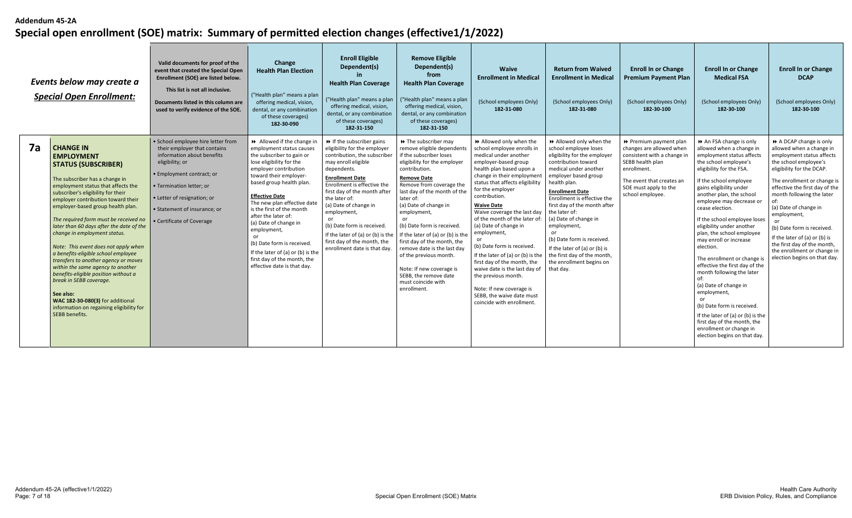|    | Events below may create a<br><b>Special Open Enrollment:</b>                                                                                                                                                                                                                                                                                                                                                                                                                                                                                                                                                                                                                                                                    | Valid documents for proof of the<br>event that created the Special Open<br>Enrollment (SOE) are listed below.<br>This list is not all inclusive.<br>Documents listed in this column are<br>used to verify evidence of the SOE.                                           | Change<br><b>Health Plan Election</b><br>("Health plan" means a plan<br>offering medical, vision,<br>dental, or any combination<br>of these coverages)<br>182-30-090                                                                                                                                                                                                                                                                                                                    | <b>Enroll Eligible</b><br>Dependent(s)<br><b>Health Plan Coverage</b><br>("Health plan" means a plan<br>offering medical, vision,<br>dental, or any combination<br>of these coverages)<br>182-31-150                                                                                                                                                                                                                            | <b>Remove Eligible</b><br>Dependent(s)<br>from<br><b>Health Plan Coverage</b><br>("Health plan" means a plan<br>offering medical, vision,<br>dental, or any combination<br>of these coverages)<br>182-31-150                                                                                                                                                                                                                                                                                                                          | <b>Waive</b><br><b>Enrollment in Medical</b><br>(School employees Only)<br>182-31-080                                                                                                                                                                                                                                                                                                                                                                                                                                                                                                                                 | <b>Return from Waived</b><br><b>Enrollment in Medical</b><br>(School employees Only)<br>182-31-080                                                                                                                                                                                                                                                                                                                                                                   | <b>Enroll In or Change</b><br><b>Premium Payment Plan</b><br>(School employees Only)<br>182-30-100                                                                                             | <b>Enroll In or Change</b><br><b>Medical FSA</b><br>(School employees Only)<br>182-30-100                                                                                                                                                                                                                                                                                                                                                                                                                                                                                                                                                                                                                     | <b>Enroll In or Change</b><br><b>DCAP</b><br>(School employees Only)<br>182-30-100                                                                                                                                                                                                                                                                                                                                                      |
|----|---------------------------------------------------------------------------------------------------------------------------------------------------------------------------------------------------------------------------------------------------------------------------------------------------------------------------------------------------------------------------------------------------------------------------------------------------------------------------------------------------------------------------------------------------------------------------------------------------------------------------------------------------------------------------------------------------------------------------------|--------------------------------------------------------------------------------------------------------------------------------------------------------------------------------------------------------------------------------------------------------------------------|-----------------------------------------------------------------------------------------------------------------------------------------------------------------------------------------------------------------------------------------------------------------------------------------------------------------------------------------------------------------------------------------------------------------------------------------------------------------------------------------|---------------------------------------------------------------------------------------------------------------------------------------------------------------------------------------------------------------------------------------------------------------------------------------------------------------------------------------------------------------------------------------------------------------------------------|---------------------------------------------------------------------------------------------------------------------------------------------------------------------------------------------------------------------------------------------------------------------------------------------------------------------------------------------------------------------------------------------------------------------------------------------------------------------------------------------------------------------------------------|-----------------------------------------------------------------------------------------------------------------------------------------------------------------------------------------------------------------------------------------------------------------------------------------------------------------------------------------------------------------------------------------------------------------------------------------------------------------------------------------------------------------------------------------------------------------------------------------------------------------------|----------------------------------------------------------------------------------------------------------------------------------------------------------------------------------------------------------------------------------------------------------------------------------------------------------------------------------------------------------------------------------------------------------------------------------------------------------------------|------------------------------------------------------------------------------------------------------------------------------------------------------------------------------------------------|---------------------------------------------------------------------------------------------------------------------------------------------------------------------------------------------------------------------------------------------------------------------------------------------------------------------------------------------------------------------------------------------------------------------------------------------------------------------------------------------------------------------------------------------------------------------------------------------------------------------------------------------------------------------------------------------------------------|-----------------------------------------------------------------------------------------------------------------------------------------------------------------------------------------------------------------------------------------------------------------------------------------------------------------------------------------------------------------------------------------------------------------------------------------|
| 7а | <b>CHANGE IN</b><br><b>EMPLOYMENT</b><br><b>STATUS (SUBSCRIBER)</b><br>The subscriber has a change in<br>employment status that affects the<br>subscriber's eligibility for their<br>employer contribution toward their<br>employer-based group health plan.<br>The required form must be received no<br>later than 60 days after the date of the<br>change in employment status.<br>Note: This event does not apply when<br>a benefits-eligible school employee<br>transfers to another agency or moves<br>within the same agency to another<br>benefits-eligible position without a<br>break in SEBB coverage.<br>See also:<br>WAC 182-30-080(3) for additional<br>information on regaining eligibility for<br>SEBB benefits. | · School employee hire letter from<br>their employer that contains<br>information about benefits<br>eligibility; or<br>· Employment contract; or<br>· Termination letter; or<br>• Letter of resignation; or<br>• Statement of insurance: or<br>• Certificate of Coverage | Allowed if the change in<br>employment status causes<br>the subscriber to gain or<br>lose eligibility for the<br>employer contribution<br>toward their employer-<br>based group health plan.<br><b>Effective Date</b><br>The new plan effective date<br>is the first of the month<br>after the later of:<br>(a) Date of change in<br>employment,<br>or<br>(b) Date form is received.<br>If the later of (a) or (b) is the<br>first day of the month, the<br>effective date is that day. | $\rightarrow$ If the subscriber gains<br>eligibility for the employer<br>contribution, the subscriber<br>may enroll eligible<br>dependents.<br><b>Enrollment Date</b><br>Enrollment is effective the<br>first day of the month after<br>the later of:<br>(a) Date of change in<br>employment,<br>(b) Date form is received.<br>If the later of (a) or (b) is the<br>first day of the month, the<br>enrollment date is that day. | $\rightarrow$ The subscriber may<br>remove eligible dependents<br>if the subscriber loses<br>eligibility for the employer<br>contribution.<br><b>Remove Date</b><br>Remove from coverage the<br>last day of the month of the<br>later of:<br>(a) Date of change in<br>employment,<br>(b) Date form is received<br>If the later of (a) or (b) is the<br>first day of the month, the<br>remove date is the last day<br>of the previous month.<br>Note: If new coverage is<br>SEBB, the remove date<br>must coincide with<br>enrollment. | >> Allowed only when the<br>school employee enrolls in<br>medical under another<br>employer-based group<br>health plan based upon a<br>change in their employmen<br>status that affects eligibility<br>for the employer<br>contribution.<br><b>Waive Date</b><br>Waive coverage the last day<br>of the month of the later of:<br>(a) Date of change in<br>employment,<br>(b) Date form is received.<br>If the later of (a) or (b) is the<br>first day of the month, the<br>waive date is the last day of<br>the previous month.<br>Note: If new coverage is<br>SEBB, the waive date must<br>coincide with enrollment. | Allowed only when the<br>school employee loses<br>eligibility for the employer<br>contribution toward<br>medical under another<br>employer based group<br>health plan.<br><b>Enrollment Date</b><br>Enrollment is effective the<br>first day of the month after<br>the later of:<br>(a) Date of change in<br>employment,<br>or<br>(b) Date form is received<br>If the later of (a) or (b) is<br>the first day of the month,<br>the enrollment begins on<br>that day. | ▶ Premium payment plan<br>changes are allowed when<br>consistent with a change in<br>SEBB health plan<br>enrollment.<br>The event that creates ar<br>SOE must apply to the<br>school employee. | An FSA change is only<br>allowed when a change in<br>employment status affects<br>the school employee's<br>eligibility for the FSA.<br>If the school employee<br>gains eligibility under<br>another plan, the school<br>employee may decrease or<br>cease election.<br>If the school employee loses<br>eligibility under another<br>plan, the school employee<br>may enroll or increase<br>election.<br>The enrollment or change is<br>effective the first day of the<br>month following the later<br>of:<br>(a) Date of change in<br>employment,<br>(b) Date form is received<br>If the later of (a) or (b) is the<br>first day of the month, the<br>enrollment or change in<br>election begins on that day. | A DCAP change is only<br>allowed when a change in<br>employment status affects<br>the school employee's<br>eligibility for the DCAP.<br>The enrollment or change is<br>effective the first day of the<br>month following the later<br>(a) Date of change in<br>employment,<br>(b) Date form is received.<br>If the later of (a) or (b) is<br>the first day of the month,<br>the enrollment or change in<br>election begins on that day. |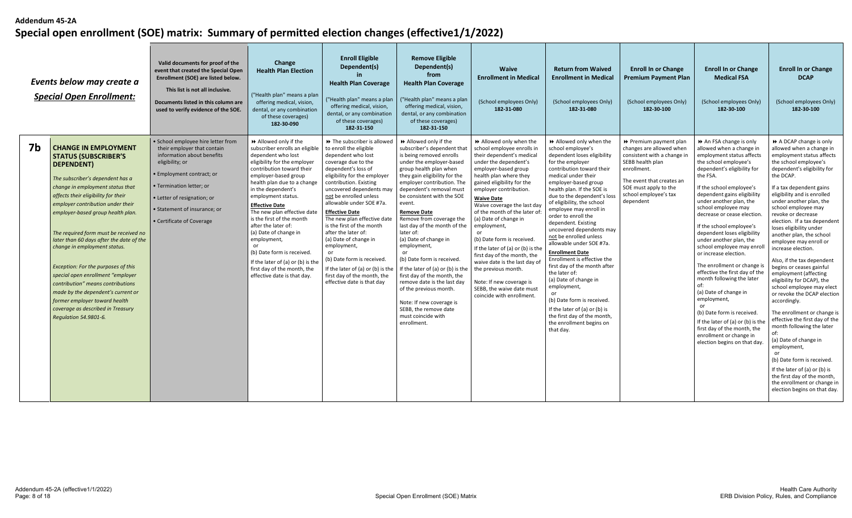|    | Events below may create a<br><b>Special Open Enrollment:</b>                                                                                                                                                                                                                                                                                                                                                                                                                                                                                                                                                                                        | Valid documents for proof of the<br>event that created the Special Open<br>Enrollment (SOE) are listed below.<br>This list is not all inclusive.<br>Documents listed in this column are<br>used to verify evidence of the SOE.                                          | Change<br><b>Health Plan Election</b><br>("Health plan" means a plan<br>offering medical, vision,<br>dental, or any combination<br>of these coverages)<br>182-30-090                                                                                                                                                                                                                                                                                                                                                                   | <b>Enroll Eligible</b><br>Dependent(s)<br><b>Health Plan Coverage</b><br>"Health plan" means a plan<br>offering medical, vision,<br>dental, or any combination<br>of these coverages)<br>182-31-150                                                                                                                                                                                                                                                                                                                                                       | <b>Remove Eligible</b><br>Dependent(s)<br>from<br><b>Health Plan Coverage</b><br>("Health plan" means a plan<br>offering medical, vision,<br>dental, or any combination<br>of these coverages)<br>182-31-150                                                                                                                                                                                                                                                                                                                                                                                                                                                                                    | <b>Waive</b><br><b>Enrollment in Medical</b><br>(School employees Only)<br>182-31-080                                                                                                                                                                                                                                                                                                                                                                                                                                                                                    | <b>Return from Waived</b><br><b>Enrollment in Medical</b><br>(School employees Only)<br>182-31-080                                                                                                                                                                                                                                                                                                                                                                                                                                                                                                                                                                                                                                | <b>Enroll In or Change</b><br><b>Premium Payment Plan</b><br>(School employees Only)<br>182-30-100                                                                                                             | <b>Enroll In or Change</b><br><b>Medical FSA</b><br>(School employees Only)<br>182-30-100                                                                                                                                                                                                                                                                                                                                                                                                                                                                                                                                                                                                                                                  | <b>Enroll In or Change</b><br><b>DCAP</b><br>(School employees Only)<br>182-30-100                                                                                                                                                                                                                                                                                                                                                                                                                                                                                                                                                                                                                                                                                                                                                                                                                                           |
|----|-----------------------------------------------------------------------------------------------------------------------------------------------------------------------------------------------------------------------------------------------------------------------------------------------------------------------------------------------------------------------------------------------------------------------------------------------------------------------------------------------------------------------------------------------------------------------------------------------------------------------------------------------------|-------------------------------------------------------------------------------------------------------------------------------------------------------------------------------------------------------------------------------------------------------------------------|----------------------------------------------------------------------------------------------------------------------------------------------------------------------------------------------------------------------------------------------------------------------------------------------------------------------------------------------------------------------------------------------------------------------------------------------------------------------------------------------------------------------------------------|-----------------------------------------------------------------------------------------------------------------------------------------------------------------------------------------------------------------------------------------------------------------------------------------------------------------------------------------------------------------------------------------------------------------------------------------------------------------------------------------------------------------------------------------------------------|-------------------------------------------------------------------------------------------------------------------------------------------------------------------------------------------------------------------------------------------------------------------------------------------------------------------------------------------------------------------------------------------------------------------------------------------------------------------------------------------------------------------------------------------------------------------------------------------------------------------------------------------------------------------------------------------------|--------------------------------------------------------------------------------------------------------------------------------------------------------------------------------------------------------------------------------------------------------------------------------------------------------------------------------------------------------------------------------------------------------------------------------------------------------------------------------------------------------------------------------------------------------------------------|-----------------------------------------------------------------------------------------------------------------------------------------------------------------------------------------------------------------------------------------------------------------------------------------------------------------------------------------------------------------------------------------------------------------------------------------------------------------------------------------------------------------------------------------------------------------------------------------------------------------------------------------------------------------------------------------------------------------------------------|----------------------------------------------------------------------------------------------------------------------------------------------------------------------------------------------------------------|--------------------------------------------------------------------------------------------------------------------------------------------------------------------------------------------------------------------------------------------------------------------------------------------------------------------------------------------------------------------------------------------------------------------------------------------------------------------------------------------------------------------------------------------------------------------------------------------------------------------------------------------------------------------------------------------------------------------------------------------|------------------------------------------------------------------------------------------------------------------------------------------------------------------------------------------------------------------------------------------------------------------------------------------------------------------------------------------------------------------------------------------------------------------------------------------------------------------------------------------------------------------------------------------------------------------------------------------------------------------------------------------------------------------------------------------------------------------------------------------------------------------------------------------------------------------------------------------------------------------------------------------------------------------------------|
| 7b | <b>CHANGE IN EMPLOYMENT</b><br><b>STATUS (SUBSCRIBER'S</b><br><b>DEPENDENT)</b><br>The subscriber's dependent has a<br>change in employment status that<br>affects their eligibility for their<br>employer contribution under their<br>employer-based group health plan.<br>The required form must be received no<br>later than 60 days after the date of the<br>change in employment status.<br>Exception: For the purposes of this<br>special open enrollment "employer<br>contribution" means contributions<br>made by the dependent's current or<br>former employer toward health<br>coverage as described in Treasury<br>Regulation 54.9801-6. | · School employee hire letter from<br>their employer that contain<br>information about benefits<br>eligibility; or<br>· Employment contract; or<br>• Termination letter; or<br>· Letter of resignation; or<br>• Statement of insurance; or<br>• Certificate of Coverage | Allowed only if the<br>subscriber enrolls an eligible<br>dependent who lost<br>eligibility for the employer<br>contribution toward their<br>employer-based group<br>health plan due to a change<br>in the dependent's<br>employment status.<br><b>Effective Date</b><br>The new plan effective date<br>is the first of the month<br>after the later of:<br>(a) Date of change in<br>employment,<br>or<br>(b) Date form is received.<br>If the later of (a) or (b) is the<br>first day of the month, the<br>effective date is that day. | → The subscriber is allowed<br>to enroll the eligible<br>dependent who lost<br>coverage due to the<br>dependent's loss of<br>eligibility for the employer<br>contribution. Existing<br>uncovered dependents may<br>not be enrolled unless<br>allowable under SOE #7a.<br><b>Effective Date</b><br>The new plan effective date<br>is the first of the month<br>after the later of:<br>(a) Date of change in<br>employment,<br>(b) Date form is received.<br>If the later of (a) or (b) is the<br>first day of the month, the<br>effective date is that day | Allowed only if the<br>subscriber's dependent that<br>is being removed enrolls<br>under the employer-based<br>group health plan when<br>they gain eligibility for the<br>employer contribution. The<br>dependent's removal must<br>be consistent with the SOE<br>event.<br><b>Remove Date</b><br>Remove from coverage the<br>last day of the month of the<br>later of:<br>(a) Date of change in<br>employment,<br>(b) Date form is received.<br>If the later of (a) or (b) is the $\vert$ the previous month.<br>first day of the month, the<br>remove date is the last day<br>of the previous month.<br>Note: If new coverage is<br>SEBB, the remove date<br>must coincide with<br>enrollment. | Allowed only when the<br>school employee enrolls in<br>their dependent's medical<br>under the dependent's<br>employer-based group<br>health plan where they<br>gained eligibility for the<br>employer contribution.<br><b>Waive Date</b><br>Waive coverage the last day<br>of the month of the later of<br>(a) Date of change in<br>employment,<br>(b) Date form is received.<br>If the later of (a) or (b) is the<br>first day of the month, the<br>waive date is the last day of<br>Note: If new coverage is<br>SEBB, the waive date must<br>coincide with enrollment. | Allowed only when the<br>school employee's<br>dependent loses eligibility<br>for the employer<br>contribution toward their<br>medical under their<br>employer-based group<br>health plan. If the SOE is<br>due to the dependent's loss<br>of eligibility, the school<br>employee may enroll in<br>order to enroll the<br>dependent. Existing<br>uncovered dependents may<br>not be enrolled unless<br>allowable under SOE #7a.<br><b>Enrollment Date</b><br>Enrollment is effective the<br>first day of the month after<br>the later of:<br>(a) Date of change in<br>employment,<br>or<br>(b) Date form is received.<br>If the later of $(a)$ or $(b)$ is<br>the first day of the month,<br>the enrollment begins on<br>that day. | Premium payment plan<br>changes are allowed when<br>consistent with a change in<br>SEBB health plan<br>enrollment.<br>The event that creates an<br>SOE must apply to the<br>school employee's tax<br>dependent | An FSA change is only<br>allowed when a change in<br>employment status affects<br>the school employee's<br>dependent's eligibility for<br>the FSA.<br>If the school employee's<br>dependent gains eligibility<br>under another plan, the<br>school employee may<br>decrease or cease election<br>If the school employee's<br>dependent loses eligibility<br>under another plan, the<br>school employee may enro<br>or increase election.<br>The enrollment or change i<br>effective the first day of the<br>month following the later<br>(a) Date of change in<br>employment,<br>(b) Date form is received.<br>If the later of (a) or (b) is the<br>first day of the month, the<br>enrollment or change in<br>election begins on that day. | A DCAP change is only<br>allowed when a change in<br>employment status affects<br>the school employee's<br>dependent's eligibility for<br>the DCAP.<br>If a tax dependent gains<br>eligibility and is enrolled<br>under another plan, the<br>school employee may<br>revoke or decrease<br>election. If a tax dependent<br>loses eligibility under<br>another plan, the school<br>employee may enroll or<br>increase election<br>Also, if the tax dependent<br>begins or ceases gainful<br>employment (affecting<br>eligibility for DCAP), the<br>school employee may elect<br>or revoke the DCAP election<br>accordingly.<br>The enrollment or change is<br>effective the first day of the<br>month following the later<br>(a) Date of change in<br>employment,<br>(b) Date form is received.<br>If the later of (a) or (b) is<br>the first day of the month,<br>the enrollment or change in<br>election begins on that day. |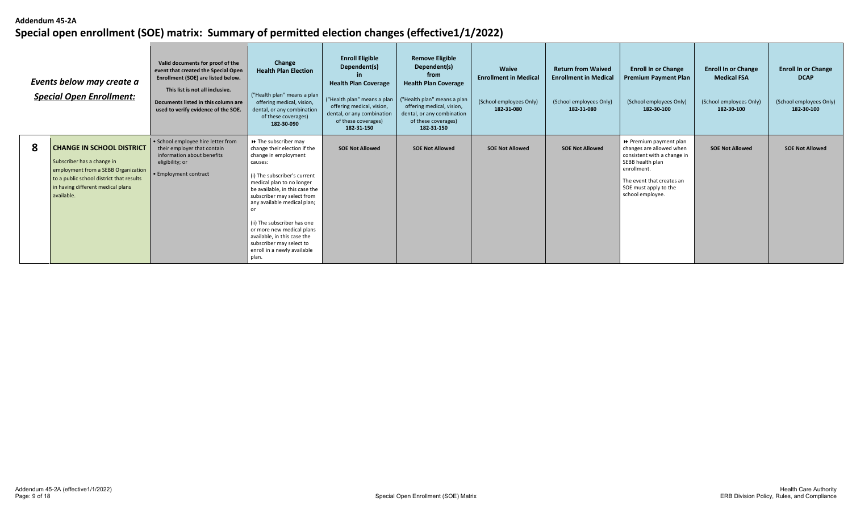|   | Events below may create a<br><b>Special Open Enrollment:</b>                                                                                                                                         | Valid documents for proof of the<br>event that created the Special Open<br>Enrollment (SOE) are listed below.<br>This list is not all inclusive.<br>Documents listed in this column are<br>used to verify evidence of the SOE. | Change<br><b>Health Plan Election</b><br>("Health plan" means a plan<br>offering medical, vision,<br>dental, or any combination<br>of these coverages)<br>182-30-090                                                                                                                                                                                                                                                                 | <b>Enroll Eligible</b><br>Dependent(s)<br><b>Health Plan Coverage</b><br>("Health plan" means a plan<br>offering medical, vision,<br>dental, or any combination<br>of these coverages)<br>182-31-150 | <b>Remove Eligible</b><br>Dependent(s)<br>from<br><b>Health Plan Coverage</b><br>("Health plan" means a plan<br>offering medical, vision,<br>dental, or any combination<br>of these coverages)<br>182-31-150 | Waive<br><b>Enrollment in Medical</b><br>(School employees Only)<br>182-31-080 | <b>Return from Waived</b><br><b>Enrollment in Medical</b><br>(School employees Only)<br>182-31-080 | <b>Enroll In or Change</b><br><b>Premium Payment Plan</b><br>(School employees Only)<br>182-30-100                                                                                             | <b>Enroll In or Change</b><br><b>Medical FSA</b><br>(School employees Only)<br>182-30-100 | <b>Enroll In or Change</b><br><b>DCAP</b><br>(School employees Only)<br>182-30-100 |
|---|------------------------------------------------------------------------------------------------------------------------------------------------------------------------------------------------------|--------------------------------------------------------------------------------------------------------------------------------------------------------------------------------------------------------------------------------|--------------------------------------------------------------------------------------------------------------------------------------------------------------------------------------------------------------------------------------------------------------------------------------------------------------------------------------------------------------------------------------------------------------------------------------|------------------------------------------------------------------------------------------------------------------------------------------------------------------------------------------------------|--------------------------------------------------------------------------------------------------------------------------------------------------------------------------------------------------------------|--------------------------------------------------------------------------------|----------------------------------------------------------------------------------------------------|------------------------------------------------------------------------------------------------------------------------------------------------------------------------------------------------|-------------------------------------------------------------------------------------------|------------------------------------------------------------------------------------|
| 8 | <b>CHANGE IN SCHOOL DISTRICT</b><br>Subscriber has a change in<br>employment from a SEBB Organization<br>to a public school district that results<br>in having different medical plans<br>available. | • School employee hire letter from<br>their employer that contain<br>information about benefits<br>eligibility; or<br>· Employment contract                                                                                    | $\rightarrow$ The subscriber may<br>change their election if the<br>change in employment<br>causes:<br>(i) The subscriber's current<br>medical plan to no longer<br>be available, in this case the<br>subscriber may select from<br>any available medical plan;<br>nr<br>(ii) The subscriber has one<br>or more new medical plans<br>available, in this case the<br>subscriber may select to<br>enroll in a newly available<br>plan. | <b>SOE Not Allowed</b>                                                                                                                                                                               | <b>SOE Not Allowed</b>                                                                                                                                                                                       | <b>SOE Not Allowed</b>                                                         | <b>SOE Not Allowed</b>                                                                             | ▶ Premium payment plan<br>changes are allowed when<br>consistent with a change in<br>SEBB health plan<br>enrollment.<br>The event that creates an<br>SOE must apply to the<br>school employee. | <b>SOE Not Allowed</b>                                                                    | <b>SOE Not Allowed</b>                                                             |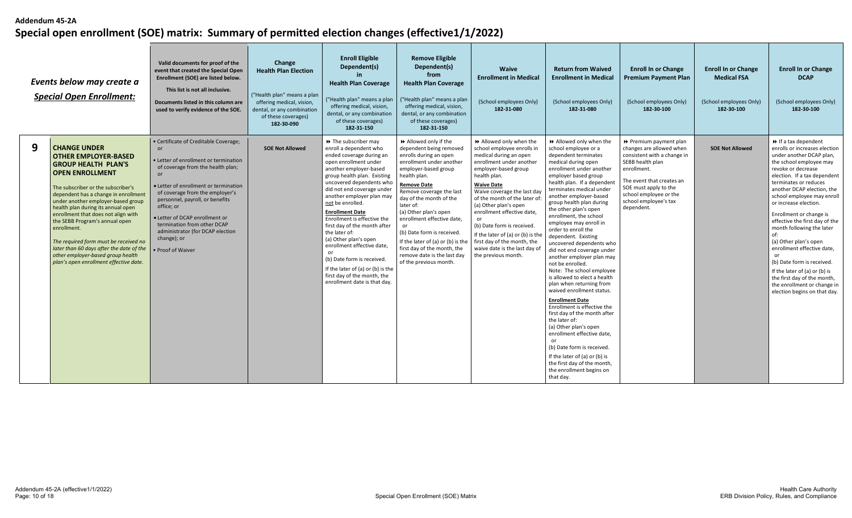|   | Events below may create a<br><b>Special Open Enrollment:</b>                                                                                                                                                                                                                                                                                                                                                                                                                                                                     | Valid documents for proof of the<br>event that created the Special Open<br>Enrollment (SOE) are listed below.<br>This list is not all inclusive.<br>Documents listed in this column are<br>used to verify evidence of the SOE.                                                                                                                                                            | Change<br><b>Health Plan Election</b><br>("Health plan" means a plan<br>offering medical, vision,<br>dental, or any combination<br>of these coverages)<br>182-30-090 | <b>Enroll Eligible</b><br>Dependent(s)<br>-in<br><b>Health Plan Coverage</b><br>("Health plan" means a plan<br>offering medical, vision,<br>dental, or any combination<br>of these coverages)<br>182-31-150                                                                                                                                                                                                                                                                                                                                                                       | <b>Remove Eligible</b><br>Dependent(s)<br>from<br><b>Health Plan Coverage</b><br>("Health plan" means a plan<br>offering medical, vision,<br>dental, or any combination<br>of these coverages)<br>182-31-150                                                                                                                                                                                                                                                                                           | <b>Waive</b><br><b>Enrollment in Medical</b><br>(School employees Only)<br>182-31-080                                                                                                                                                                                                                                                                                                                                   | <b>Return from Waived</b><br><b>Enrollment in Medical</b><br>(School employees Only)<br>182-31-080                                                                                                                                                                                                                                                                                                                                                                                                                                                                                                                                                                                                                                                                                                                                                                                                                                              | <b>Enroll In or Change</b><br><b>Premium Payment Plan</b><br>(School employees Only)<br>182-30-100                                                                                                                                        | <b>Enroll In or Change</b><br><b>Medical FSA</b><br>(School employees Only)<br>182-30-100 | <b>Enroll In or Change</b><br><b>DCAP</b><br>(School employees Only)<br>182-30-100                                                                                                                                                                                                                                                                                                                                                                                                                                                                                                                                |
|---|----------------------------------------------------------------------------------------------------------------------------------------------------------------------------------------------------------------------------------------------------------------------------------------------------------------------------------------------------------------------------------------------------------------------------------------------------------------------------------------------------------------------------------|-------------------------------------------------------------------------------------------------------------------------------------------------------------------------------------------------------------------------------------------------------------------------------------------------------------------------------------------------------------------------------------------|----------------------------------------------------------------------------------------------------------------------------------------------------------------------|-----------------------------------------------------------------------------------------------------------------------------------------------------------------------------------------------------------------------------------------------------------------------------------------------------------------------------------------------------------------------------------------------------------------------------------------------------------------------------------------------------------------------------------------------------------------------------------|--------------------------------------------------------------------------------------------------------------------------------------------------------------------------------------------------------------------------------------------------------------------------------------------------------------------------------------------------------------------------------------------------------------------------------------------------------------------------------------------------------|-------------------------------------------------------------------------------------------------------------------------------------------------------------------------------------------------------------------------------------------------------------------------------------------------------------------------------------------------------------------------------------------------------------------------|-------------------------------------------------------------------------------------------------------------------------------------------------------------------------------------------------------------------------------------------------------------------------------------------------------------------------------------------------------------------------------------------------------------------------------------------------------------------------------------------------------------------------------------------------------------------------------------------------------------------------------------------------------------------------------------------------------------------------------------------------------------------------------------------------------------------------------------------------------------------------------------------------------------------------------------------------|-------------------------------------------------------------------------------------------------------------------------------------------------------------------------------------------------------------------------------------------|-------------------------------------------------------------------------------------------|-------------------------------------------------------------------------------------------------------------------------------------------------------------------------------------------------------------------------------------------------------------------------------------------------------------------------------------------------------------------------------------------------------------------------------------------------------------------------------------------------------------------------------------------------------------------------------------------------------------------|
| 9 | <b>CHANGE UNDER</b><br><b>OTHER EMPLOYER-BASED</b><br><b>GROUP HEALTH PLAN'S</b><br><b>OPEN ENROLLMENT</b><br>The subscriber or the subscriber's<br>dependent has a change in enrollment<br>under another employer-based group<br>health plan during its annual open<br>enrollment that does not align with<br>the SEBB Program's annual open<br>enrollment.<br>The required form must be received no<br>later than 60 days after the date of the<br>other employer-based group health<br>plan's open enrollment effective date. | • Certificate of Creditable Coverage;<br>• Letter of enrollment or termination<br>of coverage from the health plan;<br>• Letter of enrollment or termination<br>of coverage from the employer's<br>personnel, payroll, or benefits<br>office: or<br>• Letter of DCAP enrollment or<br>termination from other DCAP<br>administrator (for DCAP election<br>change); or<br>· Proof of Waiver | <b>SOE Not Allowed</b>                                                                                                                                               | >> The subscriber may<br>enroll a dependent who<br>ended coverage during an<br>open enrollment under<br>another employer-based<br>group health plan. Existing<br>uncovered dependents who<br>did not end coverage under<br>another employer plan may<br>not be enrolled.<br><b>Enrollment Date</b><br>Enrollment is effective the<br>first day of the month after<br>the later of:<br>(a) Other plan's open<br>enrollment effective date,<br>or<br>(b) Date form is received.<br>If the later of (a) or (b) is the<br>first day of the month, the<br>enrollment date is that day. | Allowed only if the<br>dependent being removed<br>enrolls during an open<br>enrollment under another<br>employer-based group<br>health plan.<br><b>Remove Date</b><br>Remove coverage the last<br>day of the month of the<br>later of:<br>(a) Other plan's open<br>enrollment effective date,<br>or<br>(b) Date form is received.<br>If the later of (a) or (b) is the $\parallel$ first day of the month, the<br>first day of the month, the<br>remove date is the last day<br>of the previous month. | Allowed only when the<br>school employee enrolls in<br>medical during an open<br>enrollment under another<br>employer-based group<br>health plan.<br><b>Waive Date</b><br>Waive coverage the last day<br>of the month of the later of<br>(a) Other plan's open<br>enrollment effective date,<br>(b) Date form is received.<br>If the later of (a) or (b) is the<br>waive date is the last day of<br>the previous month. | Allowed only when the<br>school employee or a<br>dependent terminates<br>medical during open<br>enrollment under another<br>employer based group<br>health plan. If a dependent<br>terminates medical under<br>another employer-based<br>group health plan during<br>the other plan's open<br>enrollment, the school<br>employee may enroll in<br>order to enroll the<br>dependent. Existing<br>uncovered dependents who<br>did not end coverage under<br>another employer plan may<br>not be enrolled.<br>Note: The school employee<br>is allowed to elect a health<br>plan when returning from<br>waived enrollment status.<br><b>Enrollment Date</b><br>Enrollment is effective the<br>first day of the month after<br>the later of:<br>(a) Other plan's open<br>enrollment effective date,<br>or<br>(b) Date form is received.<br>If the later of $(a)$ or $(b)$ is<br>the first day of the month,<br>the enrollment begins on<br>that day. | Premium payment plan<br>changes are allowed when<br>consistent with a change in<br>SEBB health plan<br>enrollment.<br>The event that creates an<br>SOE must apply to the<br>school employee or the<br>school employee's tax<br>dependent. | <b>SOE Not Allowed</b>                                                                    | $\rightarrow$ If a tax dependent<br>enrolls or increases election<br>under another DCAP plan,<br>the school employee may<br>revoke or decrease<br>election. If a tax dependent<br>terminates or reduces<br>another DCAP election, the<br>school employee may enroll<br>or increase election.<br>Enrollment or change is<br>effective the first day of the<br>month following the later<br>of:<br>(a) Other plan's open<br>enrollment effective date,<br>(b) Date form is received.<br>If the later of (a) or (b) is<br>the first day of the month,<br>the enrollment or change in<br>election begins on that day. |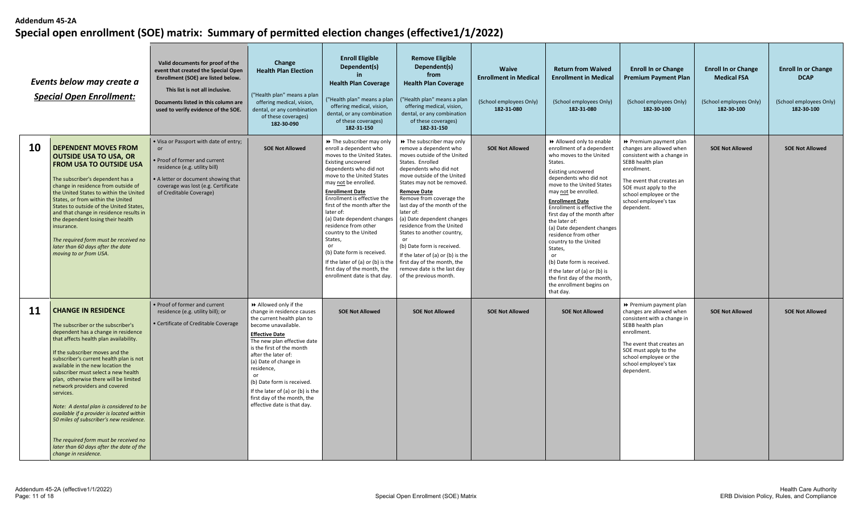|           | Events below may create a<br><b>Special Open Enrollment:</b>                                                                                                                                                                                                                                                                                                                                                                                                                                                                                                                                                                                       | Valid documents for proof of the<br>event that created the Special Open<br>Enrollment (SOE) are listed below.<br>This list is not all inclusive.<br>Documents listed in this column are<br>used to verify evidence of the SOE. | Change<br><b>Health Plan Election</b><br>("Health plan" means a plan<br>offering medical, vision,<br>dental, or any combination<br>of these coverages)<br>182-30-090                                                                                                                                                                                                                             | <b>Enroll Eligible</b><br>Dependent(s)<br><b>Health Plan Coverage</b><br>("Health plan" means a plan<br>offering medical, vision,<br>dental, or any combination<br>of these coverages)<br>182-31-150                                                                                                                                                                                                                                                                                                                             | <b>Remove Eligible</b><br>Dependent(s)<br>from<br><b>Health Plan Coverage</b><br>("Health plan" means a plan<br>offering medical, vision,<br>dental, or any combination<br>of these coverages)<br>182-31-150                                                                                                                                                                                                                                                                                                                                     | <b>Waive</b><br><b>Enrollment in Medical</b><br>(School employees Only)<br>182-31-080 | <b>Return from Waived</b><br><b>Enrollment in Medical</b><br>(School employees Only)<br>182-31-080                                                                                                                                                                                                                                                                                                                                                                                                                                              | <b>Enroll In or Change</b><br><b>Premium Payment Plan</b><br>(School employees Only)<br>182-30-100                                                                                                                                          | <b>Enroll In or Change</b><br><b>Medical FSA</b><br>(School employees Only)<br>182-30-100 | <b>Enroll In or Change</b><br><b>DCAP</b><br>(School employees Only)<br>182-30-100 |
|-----------|----------------------------------------------------------------------------------------------------------------------------------------------------------------------------------------------------------------------------------------------------------------------------------------------------------------------------------------------------------------------------------------------------------------------------------------------------------------------------------------------------------------------------------------------------------------------------------------------------------------------------------------------------|--------------------------------------------------------------------------------------------------------------------------------------------------------------------------------------------------------------------------------|--------------------------------------------------------------------------------------------------------------------------------------------------------------------------------------------------------------------------------------------------------------------------------------------------------------------------------------------------------------------------------------------------|----------------------------------------------------------------------------------------------------------------------------------------------------------------------------------------------------------------------------------------------------------------------------------------------------------------------------------------------------------------------------------------------------------------------------------------------------------------------------------------------------------------------------------|--------------------------------------------------------------------------------------------------------------------------------------------------------------------------------------------------------------------------------------------------------------------------------------------------------------------------------------------------------------------------------------------------------------------------------------------------------------------------------------------------------------------------------------------------|---------------------------------------------------------------------------------------|-------------------------------------------------------------------------------------------------------------------------------------------------------------------------------------------------------------------------------------------------------------------------------------------------------------------------------------------------------------------------------------------------------------------------------------------------------------------------------------------------------------------------------------------------|---------------------------------------------------------------------------------------------------------------------------------------------------------------------------------------------------------------------------------------------|-------------------------------------------------------------------------------------------|------------------------------------------------------------------------------------|
| <b>10</b> | <b>DEPENDENT MOVES FROM</b><br><b>OUTSIDE USA TO USA, OR</b><br><b>FROM USA TO OUTSIDE USA</b><br>The subscriber's dependent has a<br>change in residence from outside of<br>the United States to within the United<br>States, or from within the United<br>States to outside of the United States,<br>and that change in residence results in<br>the dependent losing their health<br>insurance.<br>The required form must be received no<br>later than 60 days after the date<br>moving to or from USA.                                                                                                                                          | . Visa or Passport with date of entry;<br>or<br>Proof of former and current<br>residence (e.g. utility bill)<br>A letter or document showing that<br>coverage was lost (e.g. Certificate<br>of Creditable Coverage)            | <b>SOE Not Allowed</b>                                                                                                                                                                                                                                                                                                                                                                           | >> The subscriber may only<br>enroll a dependent who<br>moves to the United States.<br>Existing uncovered<br>dependents who did not<br>move to the United States<br>may not be enrolled.<br><b>Enrollment Date</b><br>Enrollment is effective the<br>first of the month after the<br>later of:<br>(a) Date dependent changes<br>residence from other<br>country to the United<br>States,<br>or<br>(b) Date form is received.<br>If the later of (a) or (b) is the<br>first day of the month, the<br>enrollment date is that day. | >> The subscriber may only<br>remove a dependent who<br>moves outside of the United<br>States. Enrolled<br>dependents who did not<br>move outside of the United<br>States may not be removed.<br><b>Remove Date</b><br>Remove from coverage the<br>last day of the month of the<br>later of:<br>(a) Date dependent changes<br>residence from the United<br>States to another country,<br>(b) Date form is received.<br>If the later of (a) or (b) is the<br>first day of the month, the<br>remove date is the last day<br>of the previous month. | <b>SOE Not Allowed</b>                                                                | Allowed only to enable<br>enrollment of a dependent<br>who moves to the United<br>States.<br>Existing uncovered<br>dependents who did not<br>move to the United States<br>may not be enrolled.<br><b>Enrollment Date</b><br>Enrollment is effective the<br>first day of the month after<br>the later of:<br>(a) Date dependent changes<br>residence from other<br>country to the United<br>States,<br>or<br>(b) Date form is received.<br>If the later of (a) or (b) is<br>the first day of the month,<br>the enrollment begins on<br>that day. | ▶ Premium payment plan<br>changes are allowed when<br>consistent with a change in<br>SEBB health plan<br>enrollment.<br>The event that creates an<br>SOE must apply to the<br>school employee or the<br>school employee's tax<br>dependent. | <b>SOE Not Allowed</b>                                                                    | <b>SOE Not Allowed</b>                                                             |
| 11        | <b>CHANGE IN RESIDENCE</b><br>The subscriber or the subscriber's<br>dependent has a change in residence<br>that affects health plan availability.<br>If the subscriber moves and the<br>subscriber's current health plan is not<br>available in the new location the<br>subscriber must select a new health<br>plan, otherwise there will be limited<br>network providers and covered<br>services.<br>Note: A dental plan is considered to be<br>available if a provider is located within<br>50 miles of subscriber's new residence.<br>The required form must be received no<br>later than 60 days after the date of the<br>change in residence. | Proof of former and current<br>residence (e.g. utility bill); or<br>· Certificate of Creditable Coverage                                                                                                                       | Allowed only if the<br>change in residence causes<br>the current health plan to<br>become unavailable.<br><b>Effective Date</b><br>The new plan effective date<br>is the first of the month<br>after the later of:<br>(a) Date of change in<br>residence,<br>or<br>(b) Date form is received.<br>If the later of (a) or (b) is the<br>first day of the month, the<br>effective date is that day. | <b>SOE Not Allowed</b>                                                                                                                                                                                                                                                                                                                                                                                                                                                                                                           | <b>SOE Not Allowed</b>                                                                                                                                                                                                                                                                                                                                                                                                                                                                                                                           | <b>SOE Not Allowed</b>                                                                | <b>SOE Not Allowed</b>                                                                                                                                                                                                                                                                                                                                                                                                                                                                                                                          | ▶ Premium payment plan<br>changes are allowed when<br>consistent with a change in<br>SEBB health plan<br>enrollment.<br>The event that creates an<br>SOE must apply to the<br>school employee or the<br>school employee's tax<br>dependent. | <b>SOE Not Allowed</b>                                                                    | <b>SOE Not Allowed</b>                                                             |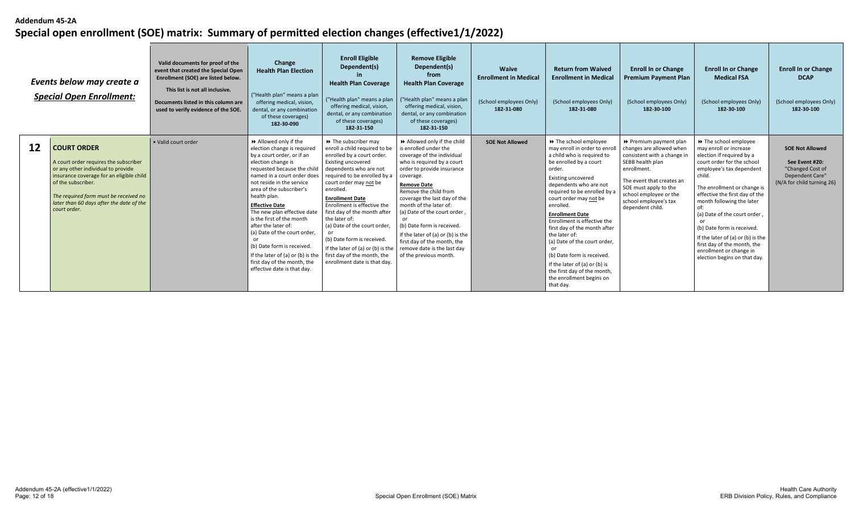|    | Events below may create a<br><b>Special Open Enrollment:</b>                                                                                                                                                                                                             | Valid documents for proof of the<br>event that created the Special Open<br>Enrollment (SOE) are listed below.<br>This list is not all inclusive.<br>Documents listed in this column are<br>used to verify evidence of the SOE. | Change<br><b>Health Plan Election</b><br>("Health plan" means a plan<br>offering medical, vision,<br>dental, or any combination<br>of these coverages)<br>182-30-090                                                                                                                                                                                                                                                                                                                                                       | <b>Enroll Eligible</b><br>Dependent(s)<br><b>Health Plan Coverage</b><br>("Health plan" means a plan<br>offering medical, vision,<br>dental, or any combination<br>of these coverages)<br>182-31-150                                                                                                                                                                                                                                                                                    | <b>Remove Eligible</b><br>Dependent(s)<br>from<br><b>Health Plan Coverage</b><br>("Health plan" means a plan<br>offering medical, vision,<br>dental, or any combination<br>of these coverages)<br>182-31-150                                                                                                                                                                                                                                                  | Waive<br><b>Enrollment in Medical</b><br>(School employees Only)<br>182-31-080 | <b>Return from Waived</b><br><b>Enrollment in Medical</b><br>(School employees Only)<br>182-31-080                                                                                                                                                                                                                                                                                                                                                                                                                               | <b>Enroll In or Change</b><br><b>Premium Payment Plan</b><br>(School employees Only)<br>182-30-100                                                                                                                                                | <b>Enroll In or Change</b><br><b>Medical FSA</b><br>(School employees Only)<br>182-30-100                                                                                                                                                                                                                                                                                                                                                   | <b>Enroll In or Change</b><br><b>DCAP</b><br>(School employees Only)<br>182-30-100                            |
|----|--------------------------------------------------------------------------------------------------------------------------------------------------------------------------------------------------------------------------------------------------------------------------|--------------------------------------------------------------------------------------------------------------------------------------------------------------------------------------------------------------------------------|----------------------------------------------------------------------------------------------------------------------------------------------------------------------------------------------------------------------------------------------------------------------------------------------------------------------------------------------------------------------------------------------------------------------------------------------------------------------------------------------------------------------------|-----------------------------------------------------------------------------------------------------------------------------------------------------------------------------------------------------------------------------------------------------------------------------------------------------------------------------------------------------------------------------------------------------------------------------------------------------------------------------------------|---------------------------------------------------------------------------------------------------------------------------------------------------------------------------------------------------------------------------------------------------------------------------------------------------------------------------------------------------------------------------------------------------------------------------------------------------------------|--------------------------------------------------------------------------------|----------------------------------------------------------------------------------------------------------------------------------------------------------------------------------------------------------------------------------------------------------------------------------------------------------------------------------------------------------------------------------------------------------------------------------------------------------------------------------------------------------------------------------|---------------------------------------------------------------------------------------------------------------------------------------------------------------------------------------------------------------------------------------------------|---------------------------------------------------------------------------------------------------------------------------------------------------------------------------------------------------------------------------------------------------------------------------------------------------------------------------------------------------------------------------------------------------------------------------------------------|---------------------------------------------------------------------------------------------------------------|
| 12 | <b>COURT ORDER</b><br>A court order requires the subscriber<br>or any other individual to provide<br>insurance coverage for an eligible child<br>of the subscriber.<br>The required form must be received no<br>later than 60 days after the date of the<br>court order. | • Valid court order                                                                                                                                                                                                            | Allowed only if the<br>election change is required<br>by a court order, or if an<br>election change is<br>requested because the child<br>named in a court order does<br>not reside in the service<br>area of the subscriber's<br>health plan.<br><b>Effective Date</b><br>The new plan effective date<br>is the first of the month<br>after the later of:<br>(a) Date of the court order,<br>(b) Date form is received.<br>If the later of (a) or (b) is the<br>first day of the month, the<br>effective date is that day. | >> The subscriber may<br>enroll a child required to be<br>enrolled by a court order.<br>Existing uncovered<br>dependents who are not<br>required to be enrolled by a<br>court order may not be<br>enrolled.<br><b>Enrollment Date</b><br>Enrollment is effective the<br>first day of the month after<br>the later of:<br>(a) Date of the court order,<br>(b) Date form is received.<br>If the later of (a) or (b) is the<br>first day of the month, the<br>enrollment date is that day. | Allowed only if the child<br>is enrolled under the<br>coverage of the individual<br>who is required by a court<br>order to provide insurance<br>coverage.<br><b>Remove Date</b><br>Remove the child from<br>coverage the last day of the<br>month of the later of:<br>(a) Date of the court order,<br>(b) Date form is received.<br>If the later of (a) or (b) is the<br>first day of the month, the<br>remove date is the last day<br>of the previous month. | <b>SOE Not Allowed</b>                                                         | >> The school employee<br>may enroll in order to enrol<br>a child who is required to<br>be enrolled by a court<br>order.<br>Existing uncovered<br>dependents who are not<br>required to be enrolled by a<br>court order may not be<br>enrolled.<br><b>Enrollment Date</b><br>Enrollment is effective the<br>first day of the month after<br>the later of:<br>(a) Date of the court order,<br>(b) Date form is received.<br>If the later of (a) or (b) is<br>the first day of the month,<br>the enrollment begins on<br>that day. | → Premium payment plan<br>changes are allowed when<br>consistent with a change in<br>SEBB health plan<br>enrollment.<br>The event that creates an<br>SOE must apply to the<br>school employee or the<br>school employee's tax<br>dependent child. | >> The school employee<br>may enroll or increase<br>election if required by a<br>court order for the school<br>employee's tax dependent<br>child.<br>The enrollment or change is<br>effective the first day of the<br>month following the later<br>(a) Date of the court order<br>(b) Date form is received.<br>If the later of (a) or (b) is the<br>first day of the month, the<br>enrollment or change in<br>election begins on that day. | <b>SOE Not Allowed</b><br>See Event #20:<br>"Changed Cost of<br>Dependent Care"<br>(N/A for child turning 26) |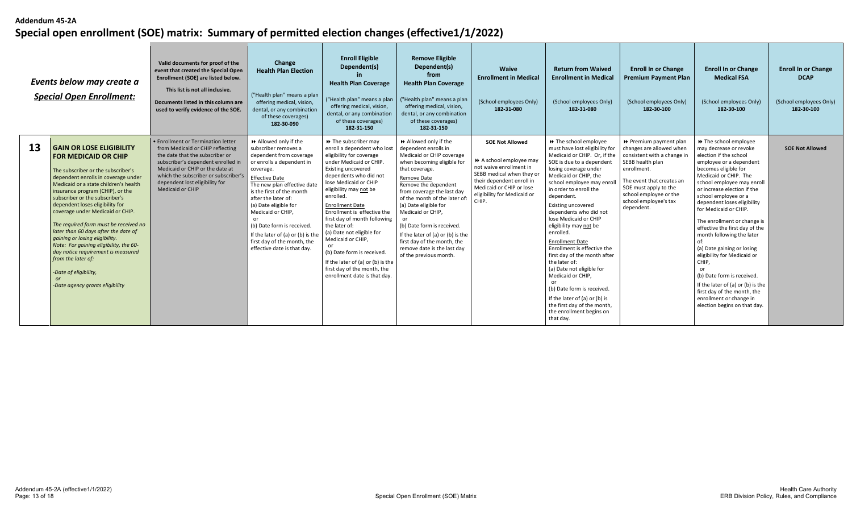| Events below may create a<br><b>Special Open Enrollment:</b> |                                                                                                                                                                                                                                                                                                                                                                                                                                                                                                                                                                                                                                     | Valid documents for proof of the<br>event that created the Special Open<br>Enrollment (SOE) are listed below.<br>This list is not all inclusive.<br>Documents listed in this column are<br>used to verify evidence of the SOE.                                                          | Change<br><b>Health Plan Election</b><br>("Health plan" means a plan<br>offering medical, vision,<br>dental, or any combination<br>of these coverages)<br>182-30-090                                                                                                                                                                                                                                              | <b>Enroll Eligible</b><br>Dependent(s)<br><b>Health Plan Coverage</b><br>("Health plan" means a plan<br>offering medical, vision,<br>dental, or any combination<br>of these coverages)<br>182-31-150                                                                                                                                                                                                                                                                                                                            | <b>Remove Eligible</b><br>Dependent(s)<br>from<br><b>Health Plan Coverage</b><br>("Health plan" means a plan<br>offering medical, vision,<br>dental, or any combination<br>of these coverages)<br>182-31-150                                                                                                                                                                                                                                         | Waive<br><b>Enrollment in Medical</b><br>(School employees Only)<br>182-31-080                                                                                                                           | <b>Return from Waived</b><br><b>Enrollment in Medical</b><br>(School employees Only)<br>182-31-080                                                                                                                                                                                                                                                                                                                                                                                                                                                                                                                                                                     | <b>Enroll In or Change</b><br><b>Premium Payment Plan</b><br>(School employees Only)<br>182-30-100                                                                                                                                          | <b>Enroll In or Change</b><br><b>Medical FSA</b><br>(School employees Only)<br>182-30-100                                                                                                                                                                                                                                                                                                                                                                                                                                                                                                                                            | <b>Enroll In or Change</b><br><b>DCAP</b><br>(School employees Only)<br>182-30-100 |
|--------------------------------------------------------------|-------------------------------------------------------------------------------------------------------------------------------------------------------------------------------------------------------------------------------------------------------------------------------------------------------------------------------------------------------------------------------------------------------------------------------------------------------------------------------------------------------------------------------------------------------------------------------------------------------------------------------------|-----------------------------------------------------------------------------------------------------------------------------------------------------------------------------------------------------------------------------------------------------------------------------------------|-------------------------------------------------------------------------------------------------------------------------------------------------------------------------------------------------------------------------------------------------------------------------------------------------------------------------------------------------------------------------------------------------------------------|---------------------------------------------------------------------------------------------------------------------------------------------------------------------------------------------------------------------------------------------------------------------------------------------------------------------------------------------------------------------------------------------------------------------------------------------------------------------------------------------------------------------------------|------------------------------------------------------------------------------------------------------------------------------------------------------------------------------------------------------------------------------------------------------------------------------------------------------------------------------------------------------------------------------------------------------------------------------------------------------|----------------------------------------------------------------------------------------------------------------------------------------------------------------------------------------------------------|------------------------------------------------------------------------------------------------------------------------------------------------------------------------------------------------------------------------------------------------------------------------------------------------------------------------------------------------------------------------------------------------------------------------------------------------------------------------------------------------------------------------------------------------------------------------------------------------------------------------------------------------------------------------|---------------------------------------------------------------------------------------------------------------------------------------------------------------------------------------------------------------------------------------------|--------------------------------------------------------------------------------------------------------------------------------------------------------------------------------------------------------------------------------------------------------------------------------------------------------------------------------------------------------------------------------------------------------------------------------------------------------------------------------------------------------------------------------------------------------------------------------------------------------------------------------------|------------------------------------------------------------------------------------|
| 13                                                           | <b>GAIN OR LOSE ELIGIBILITY</b><br><b>FOR MEDICAID OR CHIP</b><br>The subscriber or the subscriber's<br>dependent enrolls in coverage under<br>Medicaid or a state children's health<br>insurance program (CHIP), or the<br>subscriber or the subscriber's<br>dependent loses eligibility for<br>coverage under Medicaid or CHIP.<br>The required form must be received no<br>later than 60 days after the date of<br>gaining or losing eligibility.<br>Note: For gaining eligibility, the 60-<br>day notice requirement is measured<br>from the later of:<br>-Date of eligibility,<br><b>or</b><br>-Date agency grants eligibility | • Enrollment or Termination letter<br>from Medicaid or CHIP reflecting<br>the date that the subscriber or<br>subscriber's dependent enrolled in<br>Medicaid or CHIP or the date at<br>which the subscriber or subscriber's<br>dependent lost eligibility for<br><b>Medicaid or CHIP</b> | Allowed only if the<br>subscriber removes a<br>dependent from coverage<br>or enrolls a dependent in<br>coverage.<br><b>Effective Date</b><br>The new plan effective date<br>is the first of the month<br>after the later of:<br>(a) Date eligible for<br>Medicaid or CHIP,<br>or<br>(b) Date form is received.<br>If the later of (a) or (b) is the<br>first day of the month, the<br>effective date is that day. | >> The subscriber may<br>enroll a dependent who lost<br>eligibility for coverage<br>under Medicaid or CHIP<br><b>Existing uncovered</b><br>dependents who did not<br>lose Medicaid or CHIP<br>eligibility may not be<br>enrolled.<br><b>Enrollment Date</b><br>Enrollment is effective the<br>first day of month following<br>the later of:<br>(a) Date not eligible for<br>Medicaid or CHIP,<br>(b) Date form is received.<br>If the later of (a) or (b) is the<br>first day of the month, the<br>enrollment date is that day. | Allowed only if the<br>dependent enrolls in<br>Medicaid or CHIP coverage<br>when becoming eligible for<br>that coverage.<br>Remove Date<br>Remove the dependent<br>from coverage the last day<br>of the month of the later of:<br>(a) Date eligible for<br>Medicaid or CHIP,<br><b>or</b><br>(b) Date form is received.<br>If the later of (a) or (b) is the<br>first day of the month, the<br>remove date is the last day<br>of the previous month. | <b>SOE Not Allowed</b><br>A school employee may<br>not waive enrollment in<br>SEBB medical when they or<br>their dependent enroll in<br>Medicaid or CHIP or lose<br>eligibility for Medicaid or<br>CHIP. | >> The school employee<br>must have lost eligibility for<br>Medicaid or CHIP. Or, if the<br>SOE is due to a dependent<br>losing coverage under<br>Medicaid or CHIP, the<br>school employee may enrol<br>in order to enroll the<br>dependent.<br><b>Existing uncovered</b><br>dependents who did not<br>lose Medicaid or CHIP<br>eligibility may not be<br>enrolled.<br><b>Enrollment Date</b><br>Enrollment is effective the<br>first day of the month after<br>the later of:<br>(a) Date not eligible for<br>Medicaid or CHIP.<br>(b) Date form is received.<br>If the later of (a) or (b) is<br>the first day of the month,<br>the enrollment begins on<br>that day. | → Premium payment plan<br>changes are allowed when<br>consistent with a change in<br>SEBB health plan<br>enrollment.<br>The event that creates an<br>SOE must apply to the<br>school employee or the<br>school employee's tax<br>dependent. | >> The school employee<br>may decrease or revoke<br>election if the school<br>employee or a dependent<br>becomes eligible for<br>Medicaid or CHIP. The<br>school employee may enroll<br>or increase election if the<br>school employee or a<br>dependent loses eligibility<br>for Medicaid or CHIP.<br>The enrollment or change is<br>effective the first day of the<br>month following the later<br>(a) Date gaining or losing<br>eligibility for Medicaid or<br>CHIP,<br>(b) Date form is received.<br>If the later of (a) or (b) is the<br>first day of the month, the<br>enrollment or change in<br>election begins on that day. | <b>SOE Not Allowed</b>                                                             |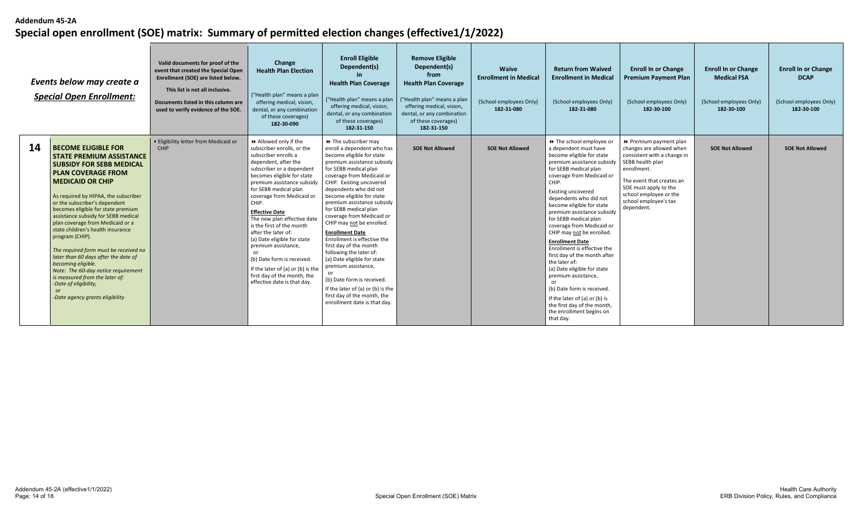| Events below may create a<br><b>Special Open Enrollment:</b> |                                                                                                                                                                                                                                                                                                                                                                                                                                                                                                                                                                                                                                                                     | Valid documents for proof of the<br>event that created the Special Open<br>Enrollment (SOE) are listed below.<br>This list is not all inclusive.<br>Documents listed in this column are<br>used to verify evidence of the SOE. | Change<br><b>Health Plan Election</b><br>("Health plan" means a plan<br>offering medical, vision,<br>dental, or any combination<br>of these coverages)<br>182-30-090                                                                                                                                                                                                                                                                                                                                                                                               | <b>Enroll Eligible</b><br>Dependent(s)<br><b>Health Plan Coverage</b><br>("Health plan" means a plan<br>offering medical, vision,<br>dental, or any combination<br>of these coverages)<br>182-31-150                                                                                                                                                                                                                                                                                                                                                                                                                                                                           | <b>Remove Eligible</b><br>Dependent(s)<br>from<br><b>Health Plan Coverage</b><br>("Health plan" means a plan<br>offering medical, vision,<br>dental, or any combination<br>of these coverages)<br>182-31-150 | Waive<br><b>Enrollment in Medical</b><br>(School employees Only)<br>182-31-080 | <b>Return from Waived</b><br><b>Enrollment in Medical</b><br>(School employees Only)<br>182-31-080                                                                                                                                                                                                                                                                                                                                                                                                                                                                                                                                                                                | <b>Enroll In or Change</b><br><b>Premium Payment Plan</b><br>(School employees Only)<br>182-30-100                                                                                                                                        | <b>Enroll In or Change</b><br><b>Medical FSA</b><br>(School employees Only)<br>182-30-100 | <b>Enroll In or Change</b><br><b>DCAP</b><br>(School employees Only)<br>182-30-100 |
|--------------------------------------------------------------|---------------------------------------------------------------------------------------------------------------------------------------------------------------------------------------------------------------------------------------------------------------------------------------------------------------------------------------------------------------------------------------------------------------------------------------------------------------------------------------------------------------------------------------------------------------------------------------------------------------------------------------------------------------------|--------------------------------------------------------------------------------------------------------------------------------------------------------------------------------------------------------------------------------|--------------------------------------------------------------------------------------------------------------------------------------------------------------------------------------------------------------------------------------------------------------------------------------------------------------------------------------------------------------------------------------------------------------------------------------------------------------------------------------------------------------------------------------------------------------------|--------------------------------------------------------------------------------------------------------------------------------------------------------------------------------------------------------------------------------------------------------------------------------------------------------------------------------------------------------------------------------------------------------------------------------------------------------------------------------------------------------------------------------------------------------------------------------------------------------------------------------------------------------------------------------|--------------------------------------------------------------------------------------------------------------------------------------------------------------------------------------------------------------|--------------------------------------------------------------------------------|-----------------------------------------------------------------------------------------------------------------------------------------------------------------------------------------------------------------------------------------------------------------------------------------------------------------------------------------------------------------------------------------------------------------------------------------------------------------------------------------------------------------------------------------------------------------------------------------------------------------------------------------------------------------------------------|-------------------------------------------------------------------------------------------------------------------------------------------------------------------------------------------------------------------------------------------|-------------------------------------------------------------------------------------------|------------------------------------------------------------------------------------|
| 14                                                           | <b>BECOME ELIGIBLE FOR</b><br><b>STATE PREMIUM ASSISTANCE</b><br><b>SUBSIDY FOR SEBB MEDICAL</b><br><b>PLAN COVERAGE FROM</b><br><b>MEDICAID OR CHIP</b><br>As required by HIPAA, the subscriber<br>or the subscriber's dependent<br>becomes eligible for state premium<br>assistance subsidy for SEBB medical<br>plan coverage from Medicaid or a<br>state children's health insurance<br>program (CHIP).<br>The required form must be received no<br>later than 60 days after the date of<br>becoming eligible.<br>Note: The 60-day notice requirement<br>is measured from the later of:<br>-Date of eligibility,<br><b>or</b><br>-Date agency grants eligibility | · Eligibility letter from Medicaid or<br>CHIP                                                                                                                                                                                  | Allowed only if the<br>subscriber enrolls, or the<br>subscriber enrolls a<br>dependent, after the<br>subscriber or a dependent<br>becomes eligible for state<br>premium assistance subsidy<br>for SEBB medical plan<br>coverage from Medicaid or<br>CHIP.<br><b>Effective Date</b><br>The new plan effective date<br>is the first of the month<br>after the later of:<br>(a) Date eligible for state<br>premium assistance,<br>or<br>(b) Date form is received.<br>If the later of (a) or (b) is the<br>first day of the month, the<br>effective date is that day. | >> The subscriber may<br>enroll a dependent who has<br>become eligible for state<br>premium assistance subsidy<br>for SEBB medical plan<br>coverage from Medicaid or<br>CHIP. Existing uncovered<br>dependents who did not<br>become eligible for state<br>premium assistance subsidy<br>for SEBB medical plan<br>coverage from Medicaid or<br>CHIP may not be enrolled.<br><b>Enrollment Date</b><br>Enrollment is effective the<br>first day of the month<br>following the later of:<br>(a) Date eligible for state<br>premium assistance,<br>(b) Date form is received.<br>If the later of (a) or (b) is the<br>first day of the month, the<br>enrollment date is that day. | <b>SOE Not Allowed</b>                                                                                                                                                                                       | <b>SOE Not Allowed</b>                                                         | >> The school employee or<br>a dependent must have<br>become eligible for state<br>premium assistance subsidy<br>for SEBB medical plan<br>coverage from Medicaid or<br>CHIP.<br>Existing uncovered<br>dependents who did not<br>become eligible for state<br>premium assistance subsidy<br>for SEBB medical plan<br>coverage from Medicaid or<br>CHIP may not be enrolled.<br><b>Enrollment Date</b><br>Enrollment is effective the<br>first day of the month after<br>the later of:<br>(a) Date eligible for state<br>premium assistance,<br>(b) Date form is received.<br>If the later of (a) or (b) is<br>the first day of the month.<br>the enrollment begins on<br>that day. | Premium payment plan<br>changes are allowed when<br>consistent with a change in<br>SEBB health plan<br>enrollment.<br>The event that creates an<br>SOE must apply to the<br>school employee or the<br>school employee's tax<br>dependent. | <b>SOE Not Allowed</b>                                                                    | <b>SOE Not Allowed</b>                                                             |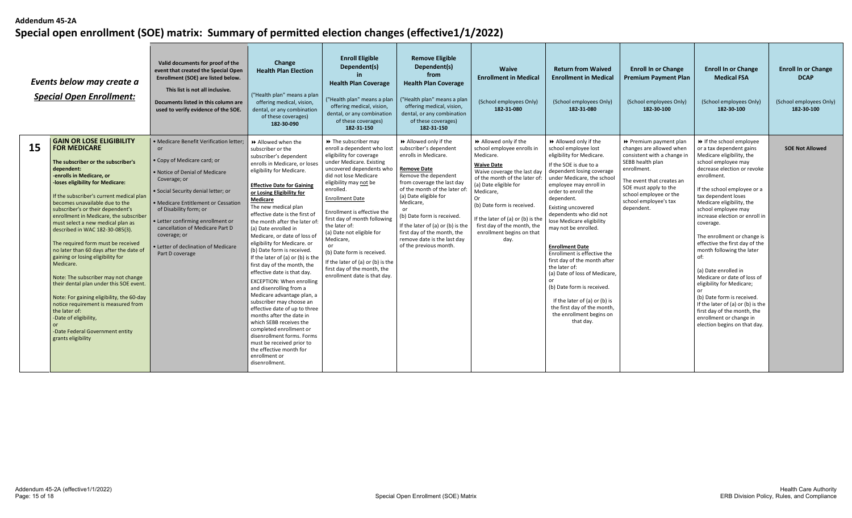| Events below may create a<br><b>Special Open Enrollment:</b> |                                                                                                                                                                                                                                                                                                                                                                                                                                                                                                                                                                                                                                                                                                                                                                                                                             | Valid documents for proof of the<br>event that created the Special Open<br>Enrollment (SOE) are listed below.<br>This list is not all inclusive.<br>Documents listed in this column are<br>used to verify evidence of the SOE.                                                                                                                                                         | Change<br><b>Health Plan Election</b><br>("Health plan" means a plan<br>offering medical, vision<br>dental, or any combination<br>of these coverages)<br>182-30-090                                                                                                                                                                                                                                                                                                                                                                                                                                                                                                                                                                                                                                                                                                                                  | <b>Enroll Eligible</b><br>Dependent(s)<br><b>Health Plan Coverage</b><br>("Health plan" means a plan<br>offering medical, vision,<br>dental, or any combination<br>of these coverages)<br>182-31-150                                                                                                                                                                                                                                                                                                 | <b>Remove Eligible</b><br>Dependent(s)<br>from<br><b>Health Plan Coverage</b><br>("Health plan" means a plan<br>offering medical, vision,<br>dental, or any combination<br>of these coverages)<br>182-31-150                                                                                                                                                                        | <b>Waive</b><br><b>Enrollment in Medical</b><br>(School employees Only)<br>182-31-080                                                                                                                                                                                                                                                 | <b>Return from Waived</b><br><b>Enrollment in Medical</b><br>(School employees Only)<br>182-31-080                                                                                                                                                                                                                                                                                                                                                                                                                                                                                                                         | <b>Enroll In or Change</b><br><b>Premium Payment Plan</b><br>(School employees Only)<br>182-30-100                                                                                                                                          | <b>Enroll In or Change</b><br><b>Medical FSA</b><br>(School employees Only)<br>182-30-100                                                                                                                                                                                                                                                                                                                                                                                                                                                                                                                                                                           | <b>Enroll In or Change</b><br><b>DCAP</b><br>(School employees Only)<br>182-30-100 |
|--------------------------------------------------------------|-----------------------------------------------------------------------------------------------------------------------------------------------------------------------------------------------------------------------------------------------------------------------------------------------------------------------------------------------------------------------------------------------------------------------------------------------------------------------------------------------------------------------------------------------------------------------------------------------------------------------------------------------------------------------------------------------------------------------------------------------------------------------------------------------------------------------------|----------------------------------------------------------------------------------------------------------------------------------------------------------------------------------------------------------------------------------------------------------------------------------------------------------------------------------------------------------------------------------------|------------------------------------------------------------------------------------------------------------------------------------------------------------------------------------------------------------------------------------------------------------------------------------------------------------------------------------------------------------------------------------------------------------------------------------------------------------------------------------------------------------------------------------------------------------------------------------------------------------------------------------------------------------------------------------------------------------------------------------------------------------------------------------------------------------------------------------------------------------------------------------------------------|------------------------------------------------------------------------------------------------------------------------------------------------------------------------------------------------------------------------------------------------------------------------------------------------------------------------------------------------------------------------------------------------------------------------------------------------------------------------------------------------------|-------------------------------------------------------------------------------------------------------------------------------------------------------------------------------------------------------------------------------------------------------------------------------------------------------------------------------------------------------------------------------------|---------------------------------------------------------------------------------------------------------------------------------------------------------------------------------------------------------------------------------------------------------------------------------------------------------------------------------------|----------------------------------------------------------------------------------------------------------------------------------------------------------------------------------------------------------------------------------------------------------------------------------------------------------------------------------------------------------------------------------------------------------------------------------------------------------------------------------------------------------------------------------------------------------------------------------------------------------------------------|---------------------------------------------------------------------------------------------------------------------------------------------------------------------------------------------------------------------------------------------|---------------------------------------------------------------------------------------------------------------------------------------------------------------------------------------------------------------------------------------------------------------------------------------------------------------------------------------------------------------------------------------------------------------------------------------------------------------------------------------------------------------------------------------------------------------------------------------------------------------------------------------------------------------------|------------------------------------------------------------------------------------|
| <b>15</b>                                                    | <b>GAIN OR LOSE ELIGIBILITY</b><br><b>FOR MEDICARE</b><br>The subscriber or the subscriber's<br>dependent:<br>-enrolls in Medicare, or<br>-loses eligibility for Medicare:<br>If the subscriber's current medical plan<br>becomes unavailable due to the<br>subscriber's or their dependent's<br>enrollment in Medicare, the subscriber<br>must select a new medical plan as<br>described in WAC 182-30-085(3).<br>The required form must be received<br>no later than 60 days after the date of<br>gaining or losing eligibility for<br>Medicare.<br>Note: The subscriber may not change<br>their dental plan under this SOE event.<br>Note: For gaining eligibility, the 60-day<br>notice requirement is measured from<br>the later of:<br>-Date of eligibility,<br>-Date Federal Government entity<br>grants eligibility | · Medicare Benefit Verification letter;<br>or<br>• Copy of Medicare card; or<br>. Notice of Denial of Medicare<br>Coverage; or<br>· Social Security denial letter; or<br>• Medicare Entitlement or Cessation<br>of Disability form; or<br>· Letter confirming enrollment or<br>cancellation of Medicare Part D<br>coverage; or<br>Letter of declination of Medicare<br>Part D coverage | Allowed when the<br>subscriber or the<br>subscriber's dependent<br>enrolls in Medicare, or loses<br>eligibility for Medicare.<br><b>Effective Date for Gaining</b><br>or Losing Eligibility for<br>Medicare<br>The new medical plan<br>effective date is the first of<br>the month after the later of:<br>(a) Date enrolled in<br>Medicare, or date of loss of<br>eligibility for Medicare. or<br>(b) Date form is received.<br>If the later of (a) or (b) is the<br>first day of the month, the<br>effective date is that day.<br><b>EXCEPTION: When enrolling</b><br>and disenrolling from a<br>Medicare advantage plan, a<br>subscriber may choose an<br>effective date of up to three<br>months after the date in<br>which SEBB receives the<br>completed enrollment or<br>disenrollment forms. Forms<br>must be received prior to<br>the effective month for<br>enrollment or<br>disenrollment. | >> The subscriber may<br>enroll a dependent who lost<br>eligibility for coverage<br>under Medicare. Existing<br>uncovered dependents who<br>did not lose Medicare<br>eligibility may not be<br>enrolled.<br><b>Enrollment Date</b><br>Enrollment is effective the<br>first day of month following<br>the later of:<br>(a) Date not eligible for<br>Medicare,<br>or<br>(b) Date form is received.<br>If the later of (a) or (b) is the<br>first day of the month, the<br>enrollment date is that day. | Allowed only if the<br>subscriber's dependent<br>enrolls in Medicare.<br><b>Remove Date</b><br>Remove the dependent<br>from coverage the last day<br>of the month of the later of:<br>(a) Date eligible for<br>Medicare.<br>(b) Date form is received.<br>If the later of (a) or (b) is the<br>first day of the month, the<br>remove date is the last day<br>of the previous month. | Allowed only if the<br>school employee enrolls in<br>Medicare.<br><b>Waive Date</b><br>Waive coverage the last day<br>of the month of the later of<br>(a) Date eligible for<br>Medicare,<br>0r<br>(b) Date form is received.<br>If the later of (a) or (b) is the<br>first day of the month, the<br>enrollment begins on that<br>day. | Allowed only if the<br>school employee lost<br>eligibility for Medicare.<br>If the SOE is due to a<br>dependent losing coverage<br>under Medicare, the school<br>employee may enroll in<br>order to enroll the<br>dependent.<br><b>Existing uncovered</b><br>dependents who did not<br>lose Medicare eligibility<br>may not be enrolled.<br><b>Enrollment Date</b><br>Enrollment is effective the<br>first day of the month after<br>the later of:<br>(a) Date of loss of Medicare,<br>(b) Date form is received.<br>If the later of (a) or (b) is<br>the first day of the month,<br>the enrollment begins on<br>that day. | ▶ Premium payment plan<br>changes are allowed when<br>consistent with a change in<br>SEBB health plan<br>enrollment.<br>The event that creates an<br>SOE must apply to the<br>school employee or the<br>school employee's tax<br>dependent. | If the school employee<br>or a tax dependent gains<br>Medicare eligibility, the<br>school employee may<br>decrease election or revoke<br>enrollment.<br>If the school employee or a<br>tax dependent loses<br>Medicare eligibility, the<br>school employee may<br>increase election or enroll in<br>coverage.<br>The enrollment or change is<br>effective the first day of the<br>month following the later<br>of:<br>(a) Date enrolled in<br>Medicare or date of loss of<br>eligibility for Medicare;<br>(b) Date form is received.<br>If the later of (a) or (b) is the<br>first day of the month, the<br>enrollment or change in<br>election begins on that day. | <b>SOE Not Allowed</b>                                                             |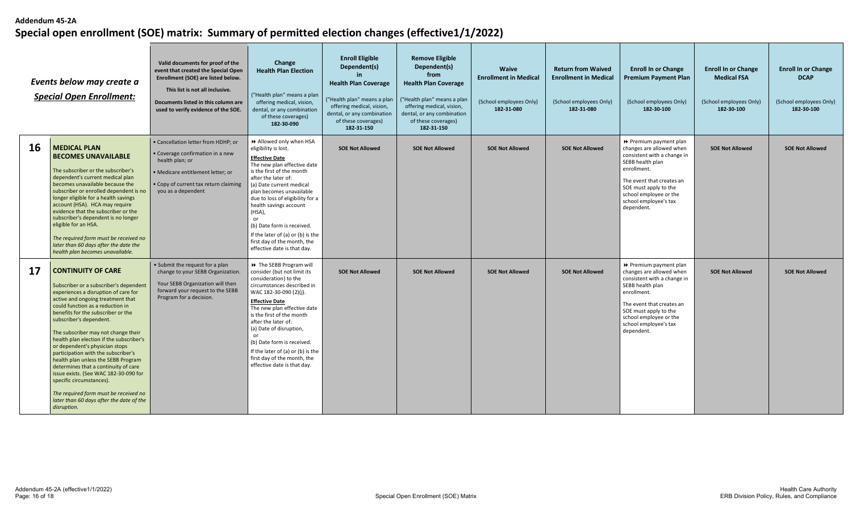| Events below may create a<br><b>Special Open Enrollment:</b> |                                                                                                                                                                                                                                                                                                                                                                                                                                                                                                                                                                                                                                                                           | Valid documents for proof of the<br>event that created the Special Open<br>Enrollment (SOE) are listed below.<br>This list is not all inclusive.<br>Documents listed in this column are<br>used to verify evidence of the SOE. | Change<br><b>Health Plan Election</b><br>("Health plan" means a plan<br>offering medical, vision,<br>dental, or any combination<br>of these coverages)<br>182-30-090                                                                                                                                                                                                                                                                | <b>Enroll Eligible</b><br>Dependent(s)<br><b>Health Plan Coverage</b><br>("Health plan" means a plan<br>offering medical, vision,<br>dental, or any combination<br>of these coverages)<br>182-31-150 | <b>Remove Eligible</b><br>Dependent(s)<br>from<br><b>Health Plan Coverage</b><br>("Health plan" means a plan<br>offering medical, vision,<br>dental, or any combination<br>of these coverages)<br>182-31-150 | <b>Waive</b><br><b>Enrollment in Medical</b><br>(School employees Only)<br>182-31-080 | <b>Return from Waived</b><br><b>Enrollment in Medical</b><br>(School employees Only)<br>182-31-080 | <b>Enroll In or Change</b><br><b>Premium Payment Plan</b><br>(School employees Only)<br>182-30-100                                                                                                                                          | <b>Enroll In or Change</b><br><b>Medical FSA</b><br>(School employees Only)<br>182-30-100 | <b>Enroll In or Change</b><br><b>DCAP</b><br>(School employees Only)<br>182-30-100 |
|--------------------------------------------------------------|---------------------------------------------------------------------------------------------------------------------------------------------------------------------------------------------------------------------------------------------------------------------------------------------------------------------------------------------------------------------------------------------------------------------------------------------------------------------------------------------------------------------------------------------------------------------------------------------------------------------------------------------------------------------------|--------------------------------------------------------------------------------------------------------------------------------------------------------------------------------------------------------------------------------|-------------------------------------------------------------------------------------------------------------------------------------------------------------------------------------------------------------------------------------------------------------------------------------------------------------------------------------------------------------------------------------------------------------------------------------|------------------------------------------------------------------------------------------------------------------------------------------------------------------------------------------------------|--------------------------------------------------------------------------------------------------------------------------------------------------------------------------------------------------------------|---------------------------------------------------------------------------------------|----------------------------------------------------------------------------------------------------|---------------------------------------------------------------------------------------------------------------------------------------------------------------------------------------------------------------------------------------------|-------------------------------------------------------------------------------------------|------------------------------------------------------------------------------------|
| <b>16</b>                                                    | <b>MEDICAL PLAN</b><br><b>BECOMES UNAVAILABLE</b><br>The subscriber or the subscriber's<br>dependent's current medical plan<br>becomes unavailable because the<br>subscriber or enrolled dependent is no<br>longer eligible for a health savings<br>account (HSA). HCA may require<br>evidence that the subscriber or the<br>subscriber's dependent is no longer<br>eligible for an HSA.<br>The required form must be received no<br>later than 60 days after the date the<br>health plan becomes unavailable.                                                                                                                                                            | · Cancellation letter from HDHP; or<br>Coverage confirmation in a new<br>health plan; or<br>· Medicare entitlement letter; or<br>• Copy of current tax return claiming<br>you as a dependent                                   | >> Allowed only when HSA<br>eligibility is lost.<br><b>Effective Date</b><br>The new plan effective date<br>is the first of the month<br>after the later of:<br>(a) Date current medical<br>plan becomes unavailable<br>due to loss of eligibility for a<br>health savings account<br>(HSA),<br>or<br>(b) Date form is received.<br>If the later of (a) or (b) is the<br>first day of the month, the<br>effective date is that day. | <b>SOE Not Allowed</b>                                                                                                                                                                               | <b>SOE Not Allowed</b>                                                                                                                                                                                       | <b>SOE Not Allowed</b>                                                                | <b>SOE Not Allowed</b>                                                                             | Premium payment plan<br>changes are allowed when<br>consistent with a change in<br>SEBB health plan<br>enrollment.<br>The event that creates an<br>SOE must apply to the<br>school employee or the<br>school employee's tax<br>dependent.   | <b>SOE Not Allowed</b>                                                                    | <b>SOE Not Allowed</b>                                                             |
| 17                                                           | <b>CONTINUITY OF CARE</b><br>Subscriber or a subscriber's dependent<br>experiences a disruption of care for<br>active and ongoing treatment that<br>could function as a reduction in<br>benefits for the subscriber or the<br>subscriber's dependent.<br>The subscriber may not change their<br>health plan election if the subscriber's<br>or dependent's physician stops<br>participation with the subscriber's<br>health plan unless the SEBB Program<br>determines that a continuity of care<br>issue exists. (See WAC 182-30-090 for<br>specific circumstances).<br>The required form must be received no<br>later than 60 days after the date of the<br>disruption. | • Submit the request for a plan<br>change to your SEBB Organization.<br>Your SEBB Organization will then<br>forward your request to the SEBB<br>Program for a decision.                                                        | → The SEBB Program will<br>consider (but not limit its<br>consideration) to the<br>circumstances described in<br>WAC 182-30-090 (2)(j).<br><b>Effective Date</b><br>The new plan effective date<br>is the first of the month<br>after the later of:<br>(a) Date of disruption,<br>or<br>(b) Date form is received.<br>If the later of (a) or (b) is the<br>first day of the month, the<br>effective date is that day.               | <b>SOE Not Allowed</b>                                                                                                                                                                               | <b>SOE Not Allowed</b>                                                                                                                                                                                       | <b>SOE Not Allowed</b>                                                                | <b>SOE Not Allowed</b>                                                                             | ▶ Premium payment plan<br>changes are allowed when<br>consistent with a change in<br>SEBB health plan<br>enrollment.<br>The event that creates an<br>SOE must apply to the<br>school employee or the<br>school employee's tax<br>dependent. | <b>SOE Not Allowed</b>                                                                    | <b>SOE Not Allowed</b>                                                             |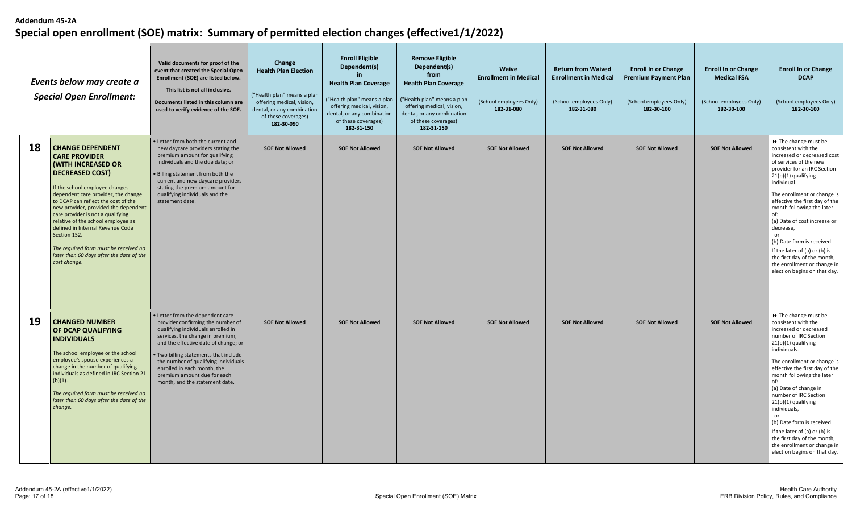| Events below may create a<br><b>Special Open Enrollment:</b> |                                                                                                                                                                                                                                                                                                                                                                                                                                                                                                    | Valid documents for proof of the<br>event that created the Special Open<br>Enrollment (SOE) are listed below.<br>This list is not all inclusive.<br>Documents listed in this column are<br>used to verify evidence of the SOE.                                                                                                                                           | Change<br><b>Health Plan Election</b><br>("Health plan" means a plan<br>offering medical, vision,<br>dental, or any combination<br>of these coverages)<br>182-30-090 | <b>Enroll Eligible</b><br>Dependent(s)<br><b>Health Plan Coverage</b><br>("Health plan" means a plan<br>offering medical, vision,<br>dental, or any combination<br>of these coverages)<br>182-31-150 | <b>Remove Eligible</b><br>Dependent(s)<br>from<br><b>Health Plan Coverage</b><br>("Health plan" means a plan<br>offering medical, vision,<br>dental, or any combination<br>of these coverages)<br>182-31-150 | <b>Waive</b><br><b>Enrollment in Medical</b><br>(School employees Only)<br>182-31-080 | <b>Return from Waived</b><br><b>Enrollment in Medical</b><br>(School employees Only)<br>182-31-080 | <b>Enroll In or Change</b><br><b>Premium Payment Plan</b><br>(School employees Only)<br>182-30-100 | <b>Enroll In or Change</b><br><b>Medical FSA</b><br>(School employees Only)<br>182-30-100 | <b>Enroll In or Change</b><br><b>DCAP</b><br>(School employees Only)<br>182-30-100                                                                                                                                                                                                                                                                                                                                                                                                                      |
|--------------------------------------------------------------|----------------------------------------------------------------------------------------------------------------------------------------------------------------------------------------------------------------------------------------------------------------------------------------------------------------------------------------------------------------------------------------------------------------------------------------------------------------------------------------------------|--------------------------------------------------------------------------------------------------------------------------------------------------------------------------------------------------------------------------------------------------------------------------------------------------------------------------------------------------------------------------|----------------------------------------------------------------------------------------------------------------------------------------------------------------------|------------------------------------------------------------------------------------------------------------------------------------------------------------------------------------------------------|--------------------------------------------------------------------------------------------------------------------------------------------------------------------------------------------------------------|---------------------------------------------------------------------------------------|----------------------------------------------------------------------------------------------------|----------------------------------------------------------------------------------------------------|-------------------------------------------------------------------------------------------|---------------------------------------------------------------------------------------------------------------------------------------------------------------------------------------------------------------------------------------------------------------------------------------------------------------------------------------------------------------------------------------------------------------------------------------------------------------------------------------------------------|
| 18                                                           | <b>CHANGE DEPENDENT</b><br><b>CARE PROVIDER</b><br><b>(WITH INCREASED OR</b><br><b>DECREASED COST)</b><br>If the school employee changes<br>dependent care provider, the change<br>to DCAP can reflect the cost of the<br>new provider, provided the dependent<br>care provider is not a qualifying<br>relative of the school employee as<br>defined in Internal Revenue Code<br>Section 152.<br>The required form must be received no<br>later than 60 days after the date of the<br>cost change. | • Letter from both the current and<br>new daycare providers stating the<br>premium amount for qualifying<br>individuals and the due date; or<br><b>Billing statement from both the</b><br>current and new daycare providers<br>stating the premium amount for<br>qualifying individuals and the<br>statement date.                                                       | <b>SOE Not Allowed</b>                                                                                                                                               | <b>SOE Not Allowed</b>                                                                                                                                                                               | <b>SOE Not Allowed</b>                                                                                                                                                                                       | <b>SOE Not Allowed</b>                                                                | <b>SOE Not Allowed</b>                                                                             | <b>SOE Not Allowed</b>                                                                             | <b>SOE Not Allowed</b>                                                                    | >> The change must be<br>consistent with the<br>increased or decreased cost<br>of services of the new<br>provider for an IRC Section<br>21(b)(1) qualifying<br>individual.<br>The enrollment or change is<br>effective the first day of the<br>month following the later<br>of:<br>(a) Date of cost increase or<br>decrease,<br>or<br>(b) Date form is received.<br>If the later of (a) or (b) is<br>the first day of the month,<br>the enrollment or change in<br>election begins on that day.         |
| 19                                                           | <b>CHANGED NUMBER</b><br>OF DCAP QUALIFYING<br><b>INDIVIDUALS</b><br>The school employee or the school<br>employee's spouse experiences a<br>change in the number of qualifying<br>individuals as defined in IRC Section 21<br>(b)(1).<br>The required form must be received no<br>later than 60 days after the date of the<br>change.                                                                                                                                                             | • Letter from the dependent care<br>provider confirming the number of<br>qualifying individuals enrolled in<br>services, the change in premium,<br>and the effective date of change; or<br>. Two billing statements that include<br>the number of qualifying individuals<br>enrolled in each month, the<br>premium amount due for each<br>month, and the statement date. | <b>SOE Not Allowed</b>                                                                                                                                               | <b>SOE Not Allowed</b>                                                                                                                                                                               | <b>SOE Not Allowed</b>                                                                                                                                                                                       | <b>SOE Not Allowed</b>                                                                | <b>SOE Not Allowed</b>                                                                             | <b>SOE Not Allowed</b>                                                                             | <b>SOE Not Allowed</b>                                                                    | >> The change must be<br>consistent with the<br>increased or decreased<br>number of IRC Section<br>21(b)(1) qualifying<br>individuals.<br>The enrollment or change is<br>effective the first day of the<br>month following the later<br>of:<br>(a) Date of change in<br>number of IRC Section<br>21(b)(1) qualifying<br>individuals,<br>or<br>(b) Date form is received.<br>If the later of (a) or (b) is<br>the first day of the month,<br>the enrollment or change in<br>election begins on that day. |